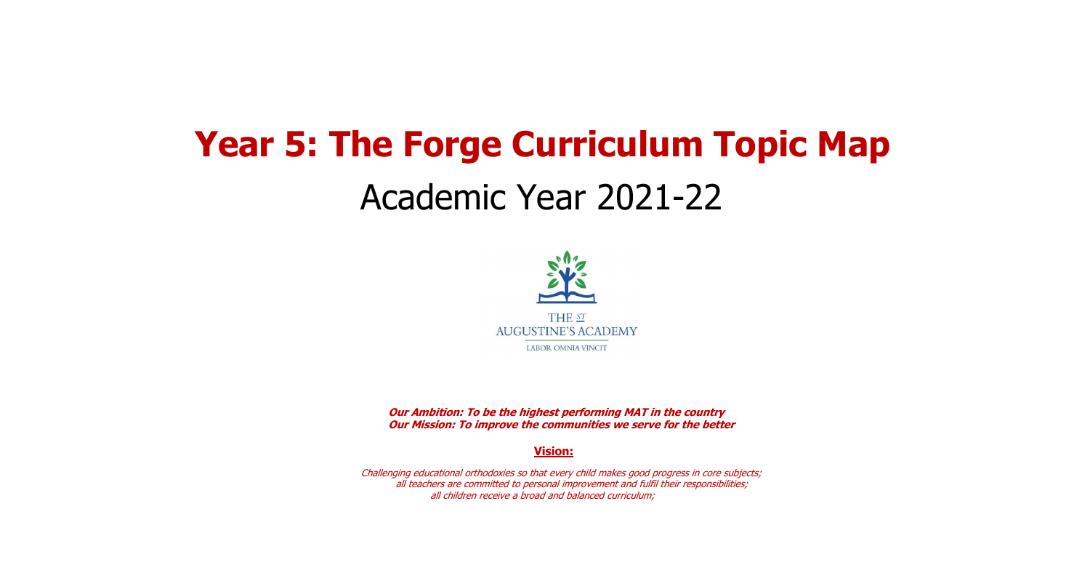# **Year 5: The Forge Curriculum Topic Map** Academic Year 2021-22



**Our Ambition: To be the highest performing MAT in the country Our Mission: To improve the communities we serve for the better**

**Vision:**

Challenging educational orthodoxies so that every child makes good progress in core subjects; all teachers are committed to personal improvement and fulfil their responsibilities; all children receive a broad and balanced curriculum;

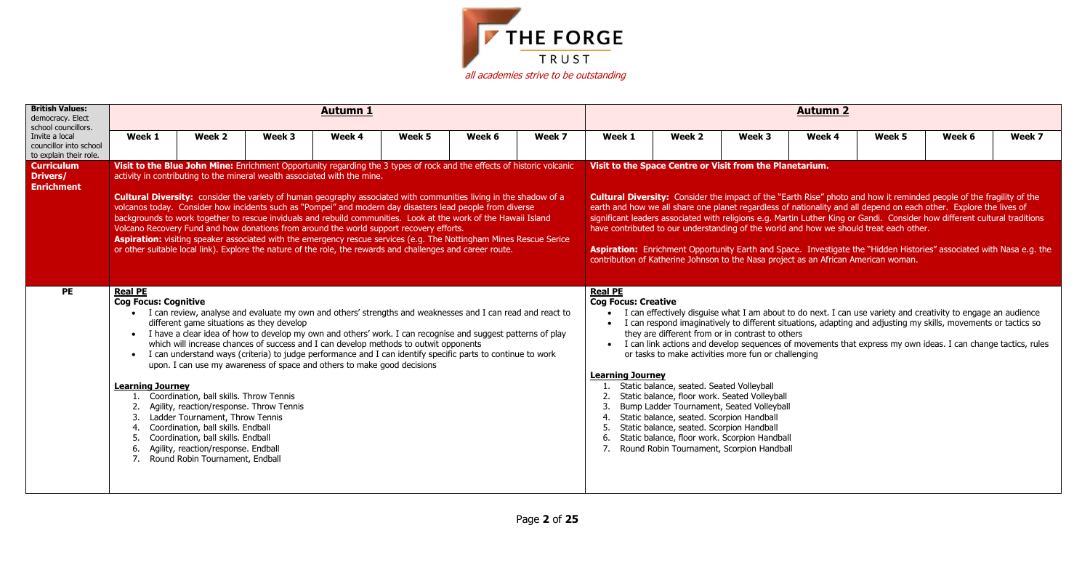

| <b>British Values:</b><br>democracy. Elect<br>school councillors.  |                                                                                                                            |                                                                                                                                                                                                                                                                                                                                                                                                                                                                                                                                                                                                                                                                                                                                                                                                                                                                                                 |        | <b>Autumn 1</b> |        |        |        | <b>Autumn 2</b>                                                                                                                                                                                                                                                                                                                                                                                                                                                                                                                                                                                                                                                                                                                                      |                                                                                                                                                                                                                                                                                                                                                                                                                                            |        |        |        |                                                                                                                                                                                                                                                                                                                                                   |        |  |  |
|--------------------------------------------------------------------|----------------------------------------------------------------------------------------------------------------------------|-------------------------------------------------------------------------------------------------------------------------------------------------------------------------------------------------------------------------------------------------------------------------------------------------------------------------------------------------------------------------------------------------------------------------------------------------------------------------------------------------------------------------------------------------------------------------------------------------------------------------------------------------------------------------------------------------------------------------------------------------------------------------------------------------------------------------------------------------------------------------------------------------|--------|-----------------|--------|--------|--------|------------------------------------------------------------------------------------------------------------------------------------------------------------------------------------------------------------------------------------------------------------------------------------------------------------------------------------------------------------------------------------------------------------------------------------------------------------------------------------------------------------------------------------------------------------------------------------------------------------------------------------------------------------------------------------------------------------------------------------------------------|--------------------------------------------------------------------------------------------------------------------------------------------------------------------------------------------------------------------------------------------------------------------------------------------------------------------------------------------------------------------------------------------------------------------------------------------|--------|--------|--------|---------------------------------------------------------------------------------------------------------------------------------------------------------------------------------------------------------------------------------------------------------------------------------------------------------------------------------------------------|--------|--|--|
| Invite a local<br>councillor into school<br>to explain their role. | Week 1                                                                                                                     | Week 2                                                                                                                                                                                                                                                                                                                                                                                                                                                                                                                                                                                                                                                                                                                                                                                                                                                                                          | Week 3 | Week 4          | Week 5 | Week 6 | Week 7 | Week 1                                                                                                                                                                                                                                                                                                                                                                                                                                                                                                                                                                                                                                                                                                                                               | Week 2                                                                                                                                                                                                                                                                                                                                                                                                                                     | Week 3 | Week 4 | Week 5 | Week 6                                                                                                                                                                                                                                                                                                                                            | Week 7 |  |  |
| <b>Curriculum</b><br>Drivers/<br><b>Enrichment</b>                 |                                                                                                                            | Visit to the Blue John Mine: Enrichment Opportunity regarding the 3 types of rock and the effects of historic volcanic<br>activity in contributing to the mineral wealth associated with the mine.<br><b>Cultural Diversity:</b> consider the variety of human geography associated with communities living in the shadow of a<br>volcanos today. Consider how incidents such as "Pompei" and modern day disasters lead people from diverse<br>backgrounds to work together to rescue inviduals and rebuild communities. Look at the work of the Hawaii Island<br>Volcano Recovery Fund and how donations from around the world support recovery efforts.<br>Aspiration: visiting speaker associated with the emergency rescue services (e.g. The Nottingham Mines Rescue Serice<br>or other suitable local link). Explore the nature of the role, the rewards and challenges and career route. |        |                 |        |        |        | Visit to the Space Centre or Visit from the Planetarium.<br><b>Cultural Diversity:</b> Consider the impact of the "Earth Rise" photo and how it reminded people of the fragility of the<br>earth and how we all share one planet regardless of nationality and all depend on each other. Explore the lives of<br>significant leaders associated with religions e.g. Martin Luther King or Gandi. Consider how different cultural traditions<br>have contributed to our understanding of the world and how we should treat each other.<br>Aspiration: Enrichment Opportunity Earth and Space. Investigate the "Hidden Histories" associated with Nasa e.g. the<br>contribution of Katherine Johnson to the Nasa project as an African American woman. |                                                                                                                                                                                                                                                                                                                                                                                                                                            |        |        |        |                                                                                                                                                                                                                                                                                                                                                   |        |  |  |
| <b>PE</b>                                                          | <b>Real PE</b><br><b>Cog Focus: Cognitive</b><br>$\bullet$<br>$\bullet$<br><b>Learning Journey</b><br>3.<br>4.<br>5.<br>6. | I can review, analyse and evaluate my own and others' strengths and weaknesses and I can read and react to<br>different game situations as they develop<br>I have a clear idea of how to develop my own and others' work. I can recognise and suggest patterns of play<br>which will increase chances of success and I can develop methods to outwit opponents<br>I can understand ways (criteria) to judge performance and I can identify specific parts to continue to work<br>upon. I can use my awareness of space and others to make good decisions<br>Coordination, ball skills. Throw Tennis<br>Agility, reaction/response. Throw Tennis<br>Ladder Tournament, Throw Tennis<br>Coordination, ball skills. Endball<br>Coordination, ball skills. Endball<br>Agility, reaction/response. Endball<br>Round Robin Tournament, Endball                                                        |        |                 |        |        |        | <b>Real PE</b><br><b>Cog Focus: Creative</b><br><b>Learning Journey</b><br>6.                                                                                                                                                                                                                                                                                                                                                                                                                                                                                                                                                                                                                                                                        | they are different from or in contrast to others<br>or tasks to make activities more fun or challenging<br>Static balance, seated. Seated Volleyball<br>Static balance, floor work. Seated Volleyball<br>Bump Ladder Tournament, Seated Volleyball<br>Static balance, seated. Scorpion Handball<br>Static balance, seated. Scorpion Handball<br>Static balance, floor work. Scorpion Handball<br>Round Robin Tournament, Scorpion Handball |        |        |        | I can effectively disguise what I am about to do next. I can use variety and creativity to engage an audience<br>I can respond imaginatively to different situations, adapting and adjusting my skills, movements or tactics so<br>• I can link actions and develop sequences of movements that express my own ideas. I can change tactics, rules |        |  |  |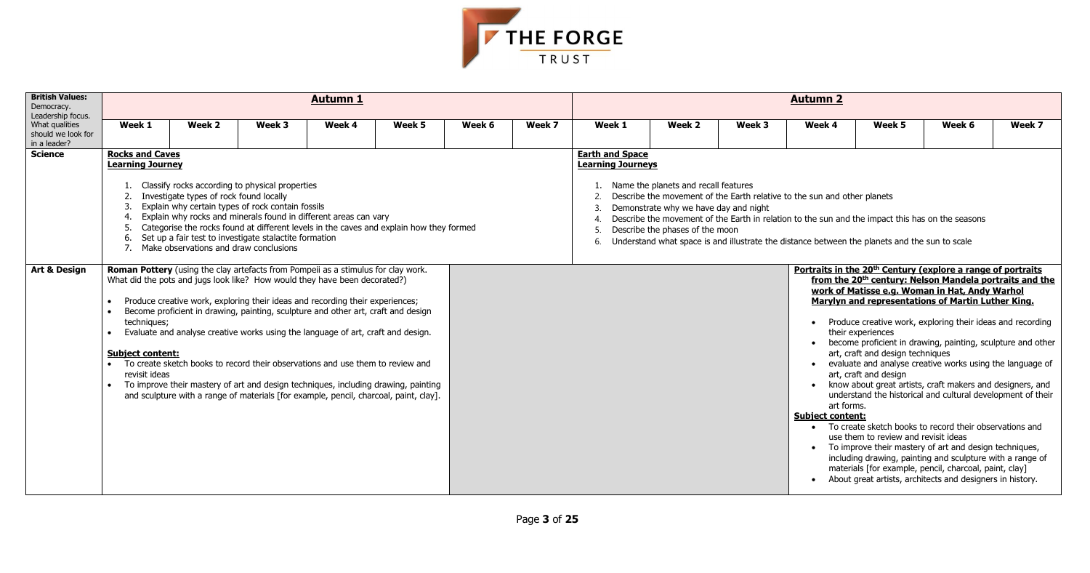

| <b>British Values:</b><br>Democracy.<br>Leadership focus. |                                                               |                                         |                                                                                                                                                                                                                                                                                                                                                                                                                                                                                                                                                                                                      | <b>Autumn 1</b> |                                                                                         |        |        | <b>Autumn 2</b>                                          |                                                                                                                  |        |                                                                                                                                                                                                                                                                               |                                                                                                                        |                                                                                                                                                                                                                                                                                                                                                                                                                                                                                                                                                                                                                                                                                                                                                                                                                                                                                         |        |  |  |
|-----------------------------------------------------------|---------------------------------------------------------------|-----------------------------------------|------------------------------------------------------------------------------------------------------------------------------------------------------------------------------------------------------------------------------------------------------------------------------------------------------------------------------------------------------------------------------------------------------------------------------------------------------------------------------------------------------------------------------------------------------------------------------------------------------|-----------------|-----------------------------------------------------------------------------------------|--------|--------|----------------------------------------------------------|------------------------------------------------------------------------------------------------------------------|--------|-------------------------------------------------------------------------------------------------------------------------------------------------------------------------------------------------------------------------------------------------------------------------------|------------------------------------------------------------------------------------------------------------------------|-----------------------------------------------------------------------------------------------------------------------------------------------------------------------------------------------------------------------------------------------------------------------------------------------------------------------------------------------------------------------------------------------------------------------------------------------------------------------------------------------------------------------------------------------------------------------------------------------------------------------------------------------------------------------------------------------------------------------------------------------------------------------------------------------------------------------------------------------------------------------------------------|--------|--|--|
| What qualities<br>should we look for<br>in a leader?      | Week 1                                                        | Week 2                                  | Week 3                                                                                                                                                                                                                                                                                                                                                                                                                                                                                                                                                                                               | Week 4          | Week 5                                                                                  | Week 6 | Week 7 | Week 1                                                   | Week 2                                                                                                           | Week 3 | Week 4                                                                                                                                                                                                                                                                        | Week 5                                                                                                                 | Week 6                                                                                                                                                                                                                                                                                                                                                                                                                                                                                                                                                                                                                                                                                                                                                                                                                                                                                  | Week 7 |  |  |
| <b>Science</b>                                            | <b>Rocks and Caves</b><br><b>Learning Journey</b><br>3.<br>6. | Investigate types of rock found locally | Classify rocks according to physical properties<br>Explain why certain types of rock contain fossils<br>Explain why rocks and minerals found in different areas can vary<br>Set up a fair test to investigate stalactite formation                                                                                                                                                                                                                                                                                                                                                                   |                 | Categorise the rocks found at different levels in the caves and explain how they formed |        |        | <b>Earth and Space</b><br><b>Learning Journeys</b><br>6. | Name the planets and recall features<br>Demonstrate why we have day and night<br>Describe the phases of the moon |        | Describe the movement of the Earth relative to the sun and other planets<br>Describe the movement of the Earth in relation to the sun and the impact this has on the seasons<br>Understand what space is and illustrate the distance between the planets and the sun to scale |                                                                                                                        |                                                                                                                                                                                                                                                                                                                                                                                                                                                                                                                                                                                                                                                                                                                                                                                                                                                                                         |        |  |  |
| <b>Art &amp; Design</b>                                   | 7.<br>techniques;<br><b>Subject content:</b><br>revisit ideas | Make observations and draw conclusions  | Roman Pottery (using the clay artefacts from Pompeii as a stimulus for clay work.<br>What did the pots and jugs look like? How would they have been decorated?)<br>Produce creative work, exploring their ideas and recording their experiences;<br>Become proficient in drawing, painting, sculpture and other art, craft and design<br>Evaluate and analyse creative works using the language of art, craft and design.<br>To create sketch books to record their observations and use them to review and<br>and sculpture with a range of materials [for example, pencil, charcoal, paint, clay]. |                 | To improve their mastery of art and design techniques, including drawing, painting      |        |        |                                                          |                                                                                                                  |        | art forms.<br><b>Subject content:</b>                                                                                                                                                                                                                                         | their experiences<br>art, craft and design techniques<br>art, craft and design<br>use them to review and revisit ideas | Portraits in the 20 <sup>th</sup> Century (explore a range of portraits<br>from the 20 <sup>th</sup> century: Nelson Mandela portraits and the<br>work of Matisse e.g. Woman in Hat, Andy Warhol<br>Marylyn and representations of Martin Luther King.<br>Produce creative work, exploring their ideas and recording<br>become proficient in drawing, painting, sculpture and other<br>evaluate and analyse creative works using the language of<br>• know about great artists, craft makers and designers, and<br>understand the historical and cultural development of their<br>To create sketch books to record their observations and<br>To improve their mastery of art and design techniques,<br>including drawing, painting and sculpture with a range of<br>materials [for example, pencil, charcoal, paint, clay]<br>About great artists, architects and designers in history. |        |  |  |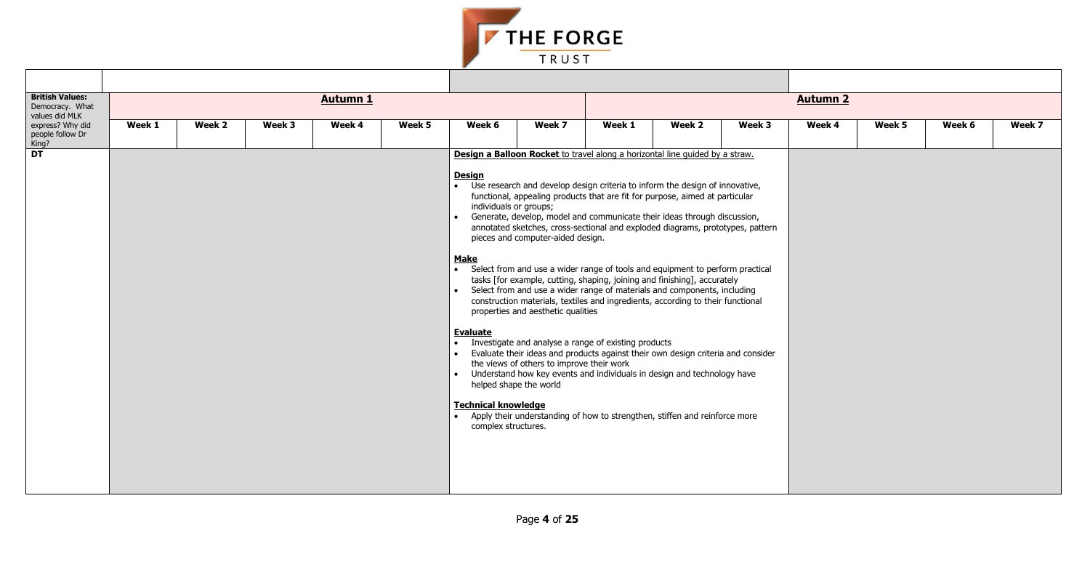

| <b>British Values:</b><br>Democracy. What<br>values did MLK |        |        |        | <b>Autumn 1</b> |        |                                                                                                                                                          |                                                                                                                      |                                                                                                                                                                                                                                                                                                                                                                                                                                                                                                                                                                                                                                                                                                                                                                                                                                                                                                                                                                   |        |        | <b>Autumn 2</b> |        |        |        |
|-------------------------------------------------------------|--------|--------|--------|-----------------|--------|----------------------------------------------------------------------------------------------------------------------------------------------------------|----------------------------------------------------------------------------------------------------------------------|-------------------------------------------------------------------------------------------------------------------------------------------------------------------------------------------------------------------------------------------------------------------------------------------------------------------------------------------------------------------------------------------------------------------------------------------------------------------------------------------------------------------------------------------------------------------------------------------------------------------------------------------------------------------------------------------------------------------------------------------------------------------------------------------------------------------------------------------------------------------------------------------------------------------------------------------------------------------|--------|--------|-----------------|--------|--------|--------|
| express? Why did<br>people follow Dr<br>King?               | Week 1 | Week 2 | Week 3 | Week 4          | Week 5 | Week 6                                                                                                                                                   | Week 7                                                                                                               | Week 1                                                                                                                                                                                                                                                                                                                                                                                                                                                                                                                                                                                                                                                                                                                                                                                                                                                                                                                                                            | Week 2 | Week 3 | Week 4          | Week 5 | Week 6 | Week 7 |
| $\overline{DT}$                                             |        |        |        |                 |        |                                                                                                                                                          |                                                                                                                      | Design a Balloon Rocket to travel along a horizontal line guided by a straw.                                                                                                                                                                                                                                                                                                                                                                                                                                                                                                                                                                                                                                                                                                                                                                                                                                                                                      |        |        |                 |        |        |        |
|                                                             |        |        |        |                 |        | <b>Design</b><br>individuals or groups;<br><b>Make</b><br><b>Evaluate</b><br>helped shape the world<br><b>Technical knowledge</b><br>complex structures. | pieces and computer-aided design.<br>properties and aesthetic qualities<br>the views of others to improve their work | Use research and develop design criteria to inform the design of innovative,<br>functional, appealing products that are fit for purpose, aimed at particular<br>Generate, develop, model and communicate their ideas through discussion,<br>annotated sketches, cross-sectional and exploded diagrams, prototypes, pattern<br>• Select from and use a wider range of tools and equipment to perform practical<br>tasks [for example, cutting, shaping, joining and finishing], accurately<br>Select from and use a wider range of materials and components, including<br>construction materials, textiles and ingredients, according to their functional<br>• Investigate and analyse a range of existing products<br>Evaluate their ideas and products against their own design criteria and consider<br>• Understand how key events and individuals in design and technology have<br>Apply their understanding of how to strengthen, stiffen and reinforce more |        |        |                 |        |        |        |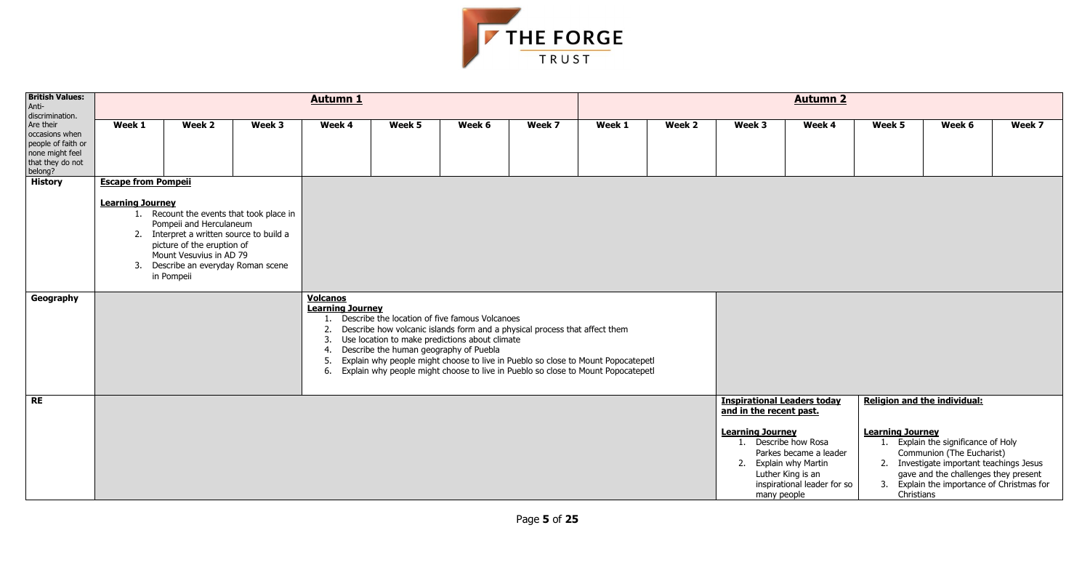- 
- 
- 



| <b>British Values:</b><br>Anti-<br>discrimination.                                                  |                                                             |                                                                                                                                                                                                                            |        | <b>Autumn 1</b>                                                         |                                                                                                                                            |        |                                                                                                                                                                                                                                                    | <b>Autumn 2</b> |        |                                                                                                                                                          |                                                                            |                                       |                                                                                                                                                                                                                                        |        |  |  |  |
|-----------------------------------------------------------------------------------------------------|-------------------------------------------------------------|----------------------------------------------------------------------------------------------------------------------------------------------------------------------------------------------------------------------------|--------|-------------------------------------------------------------------------|--------------------------------------------------------------------------------------------------------------------------------------------|--------|----------------------------------------------------------------------------------------------------------------------------------------------------------------------------------------------------------------------------------------------------|-----------------|--------|----------------------------------------------------------------------------------------------------------------------------------------------------------|----------------------------------------------------------------------------|---------------------------------------|----------------------------------------------------------------------------------------------------------------------------------------------------------------------------------------------------------------------------------------|--------|--|--|--|
| Are their<br>occasions when<br>people of faith or<br>none might feel<br>that they do not<br>belong? | Week 1                                                      | Week 2                                                                                                                                                                                                                     | Week 3 | Week 4                                                                  | Week 5                                                                                                                                     | Week 6 | Week 7                                                                                                                                                                                                                                             | Week 1          | Week 2 | Week 3                                                                                                                                                   | Week 4                                                                     | Week 5                                | Week 6                                                                                                                                                                                                                                 | Week 7 |  |  |  |
| <b>History</b>                                                                                      | <b>Escape from Pompeii</b><br><b>Learning Journey</b><br>3. | 1. Recount the events that took place in<br>Pompeii and Herculaneum<br>2. Interpret a written source to build a<br>picture of the eruption of<br>Mount Vesuvius in AD 79<br>Describe an everyday Roman scene<br>in Pompeii |        |                                                                         |                                                                                                                                            |        |                                                                                                                                                                                                                                                    |                 |        |                                                                                                                                                          |                                                                            |                                       |                                                                                                                                                                                                                                        |        |  |  |  |
| Geography                                                                                           |                                                             |                                                                                                                                                                                                                            |        | <b>Volcanos</b><br><b>Learning Journey</b><br>2.<br>3.<br>4.<br>5<br>6. | Describe the location of five famous Volcanoes<br>Use location to make predictions about climate<br>Describe the human geography of Puebla |        | Describe how volcanic islands form and a physical process that affect them<br>Explain why people might choose to live in Pueblo so close to Mount Popocatepetl<br>Explain why people might choose to live in Pueblo so close to Mount Popocatepetl |                 |        |                                                                                                                                                          |                                                                            |                                       |                                                                                                                                                                                                                                        |        |  |  |  |
| RE                                                                                                  |                                                             |                                                                                                                                                                                                                            |        |                                                                         |                                                                                                                                            |        |                                                                                                                                                                                                                                                    |                 |        | <b>Inspirational Leaders today</b><br>and in the recent past.<br><b>Learning Journey</b><br>1. Describe how Rosa<br>2. Explain why Martin<br>many people | Parkes became a leader<br>Luther King is an<br>inspirational leader for so | <b>Learning Journey</b><br>Christians | <b>Religion and the individual:</b><br>Explain the significance of Holy<br>Communion (The Eucharist)<br>2. Investigate important teachings Jesus<br>gave and the challenges they present<br>3. Explain the importance of Christmas for |        |  |  |  |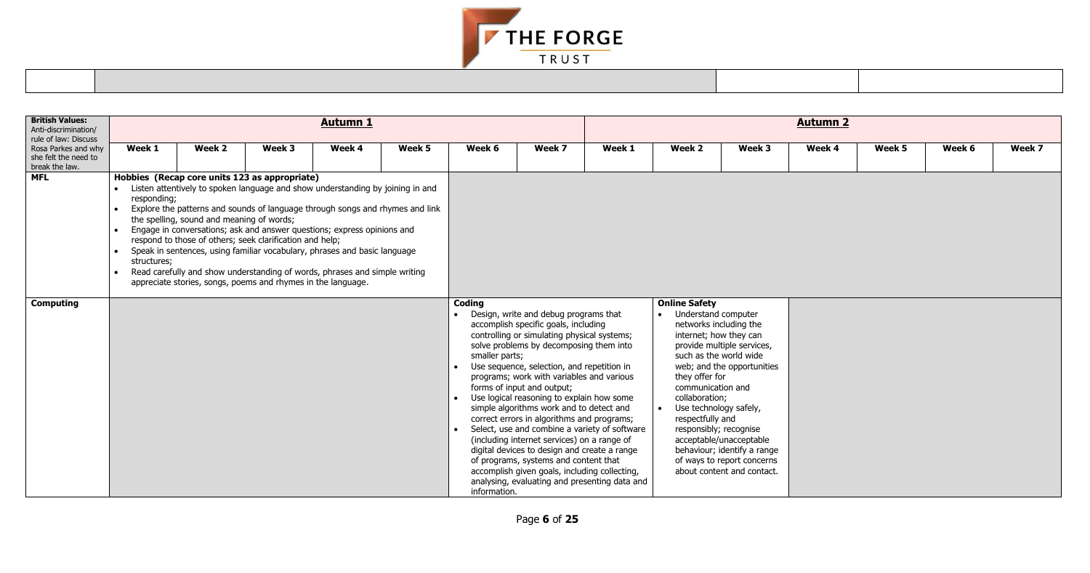

| <b>British Values:</b><br>Anti-discrimination/ |                                         |                                                                                                                                                                                                                                                                                                                                                                                                                                                                                                                                                                                                                                 |        | <b>Autumn 1</b> |        |                                          |                                                                                                                                                                                                                                                                                                                                                                                                                                                                                                                                                                                                                                                                                                                                    |        |                                                                                                                                                                                                                                                            |                                                                                                                                                                                | <b>Autumn 2</b> |        |        |        |
|------------------------------------------------|-----------------------------------------|---------------------------------------------------------------------------------------------------------------------------------------------------------------------------------------------------------------------------------------------------------------------------------------------------------------------------------------------------------------------------------------------------------------------------------------------------------------------------------------------------------------------------------------------------------------------------------------------------------------------------------|--------|-----------------|--------|------------------------------------------|------------------------------------------------------------------------------------------------------------------------------------------------------------------------------------------------------------------------------------------------------------------------------------------------------------------------------------------------------------------------------------------------------------------------------------------------------------------------------------------------------------------------------------------------------------------------------------------------------------------------------------------------------------------------------------------------------------------------------------|--------|------------------------------------------------------------------------------------------------------------------------------------------------------------------------------------------------------------------------------------------------------------|--------------------------------------------------------------------------------------------------------------------------------------------------------------------------------|-----------------|--------|--------|--------|
| rule of law: Discuss                           |                                         |                                                                                                                                                                                                                                                                                                                                                                                                                                                                                                                                                                                                                                 |        |                 |        |                                          |                                                                                                                                                                                                                                                                                                                                                                                                                                                                                                                                                                                                                                                                                                                                    |        |                                                                                                                                                                                                                                                            |                                                                                                                                                                                |                 |        |        |        |
| Rosa Parkes and why                            | Week 1                                  | Week 2                                                                                                                                                                                                                                                                                                                                                                                                                                                                                                                                                                                                                          | Week 3 | Week 4          | Week 5 | Week 6                                   | Week 7                                                                                                                                                                                                                                                                                                                                                                                                                                                                                                                                                                                                                                                                                                                             | Week 1 | Week 2                                                                                                                                                                                                                                                     | Week 3                                                                                                                                                                         | Week 4          | Week 5 | Week 6 | Week 7 |
| she felt the need to<br>break the law.         |                                         |                                                                                                                                                                                                                                                                                                                                                                                                                                                                                                                                                                                                                                 |        |                 |        |                                          |                                                                                                                                                                                                                                                                                                                                                                                                                                                                                                                                                                                                                                                                                                                                    |        |                                                                                                                                                                                                                                                            |                                                                                                                                                                                |                 |        |        |        |
| <b>MFL</b>                                     | responding;<br>structures;<br>$\bullet$ | Hobbies (Recap core units 123 as appropriate)<br>Listen attentively to spoken language and show understanding by joining in and<br>Explore the patterns and sounds of language through songs and rhymes and link<br>the spelling, sound and meaning of words;<br>Engage in conversations; ask and answer questions; express opinions and<br>respond to those of others; seek clarification and help;<br>Speak in sentences, using familiar vocabulary, phrases and basic language<br>Read carefully and show understanding of words, phrases and simple writing<br>appreciate stories, songs, poems and rhymes in the language. |        |                 |        |                                          |                                                                                                                                                                                                                                                                                                                                                                                                                                                                                                                                                                                                                                                                                                                                    |        |                                                                                                                                                                                                                                                            |                                                                                                                                                                                |                 |        |        |        |
| <b>Computing</b>                               |                                         |                                                                                                                                                                                                                                                                                                                                                                                                                                                                                                                                                                                                                                 |        |                 |        | Coding<br>smaller parts;<br>information. | Design, write and debug programs that<br>accomplish specific goals, including<br>controlling or simulating physical systems;<br>solve problems by decomposing them into<br>Use sequence, selection, and repetition in<br>programs; work with variables and various<br>forms of input and output;<br>Use logical reasoning to explain how some<br>simple algorithms work and to detect and<br>correct errors in algorithms and programs;<br>Select, use and combine a variety of software<br>(including internet services) on a range of<br>digital devices to design and create a range<br>of programs, systems and content that<br>accomplish given goals, including collecting,<br>analysing, evaluating and presenting data and |        | <b>Online Safety</b><br>Understand computer<br>networks including the<br>internet; how they can<br>such as the world wide<br>they offer for<br>communication and<br>collaboration;<br>Use technology safely,<br>respectfully and<br>responsibly; recognise | provide multiple services,<br>web; and the opportunities<br>acceptable/unacceptable<br>behaviour; identify a range<br>of ways to report concerns<br>about content and contact. |                 |        |        |        |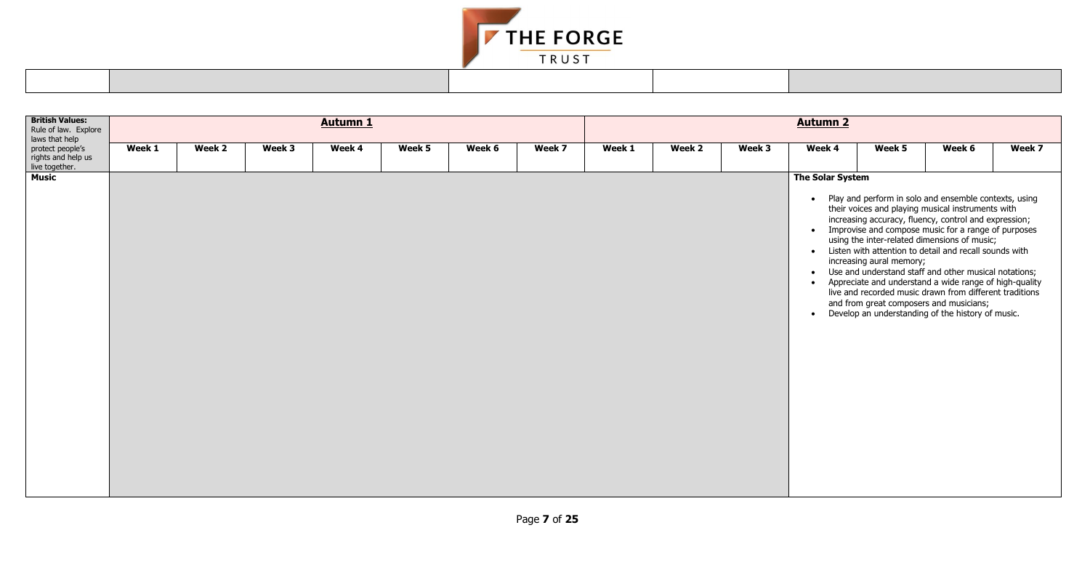

| <b>British Values:</b><br>Rule of law. Explore<br>laws that help |        |        |        | <b>Autumn 1</b> |        |        |        | <b>Autumn 2</b> |        |        |                         |                          |                                                                                                                                                                                                                                                                                                                                                                                                                                                                                                                                                                                                                            |        |  |
|------------------------------------------------------------------|--------|--------|--------|-----------------|--------|--------|--------|-----------------|--------|--------|-------------------------|--------------------------|----------------------------------------------------------------------------------------------------------------------------------------------------------------------------------------------------------------------------------------------------------------------------------------------------------------------------------------------------------------------------------------------------------------------------------------------------------------------------------------------------------------------------------------------------------------------------------------------------------------------------|--------|--|
| protect people's<br>rights and help us<br>live together.         | Week 1 | Week 2 | Week 3 | Week 4          | Week 5 | Week 6 | Week 7 | Week 1          | Week 2 | Week 3 | Week 4                  | Week 5                   | Week 6                                                                                                                                                                                                                                                                                                                                                                                                                                                                                                                                                                                                                     | Week 7 |  |
| <b>Music</b>                                                     |        |        |        |                 |        |        |        |                 |        |        | <b>The Solar System</b> | increasing aural memory; | • Play and perform in solo and ensemble contexts, using<br>their voices and playing musical instruments with<br>increasing accuracy, fluency, control and expression;<br>Improvise and compose music for a range of purposes<br>using the inter-related dimensions of music;<br>• Listen with attention to detail and recall sounds with<br>• Use and understand staff and other musical notations;<br>Appreciate and understand a wide range of high-quality<br>live and recorded music drawn from different traditions<br>and from great composers and musicians;<br>• Develop an understanding of the history of music. |        |  |

|                     | Veek 4<br>Week 5<br>Week 6<br>Week 7                                                                                                                                                                                                                                                                                                                                                                                                                                                                                                                                                      |                                                   |  |  |  |  |  |  |  |  |  |  |
|---------------------|-------------------------------------------------------------------------------------------------------------------------------------------------------------------------------------------------------------------------------------------------------------------------------------------------------------------------------------------------------------------------------------------------------------------------------------------------------------------------------------------------------------------------------------------------------------------------------------------|---------------------------------------------------|--|--|--|--|--|--|--|--|--|--|
| <b>Solar System</b> | Play and perform in solo and ensemble contexts, using<br>their voices and playing musical instruments with<br>increasing accuracy, fluency, control and expression;<br>Improvise and compose music for a range of purposes<br>using the inter-related dimensions of music;<br>Listen with attention to detail and recall sounds with<br>increasing aural memory;<br>Use and understand staff and other musical notations;<br>Appreciate and understand a wide range of high-quality<br>live and recorded music drawn from different traditions<br>and from great composers and musicians; | Develop an understanding of the history of music. |  |  |  |  |  |  |  |  |  |  |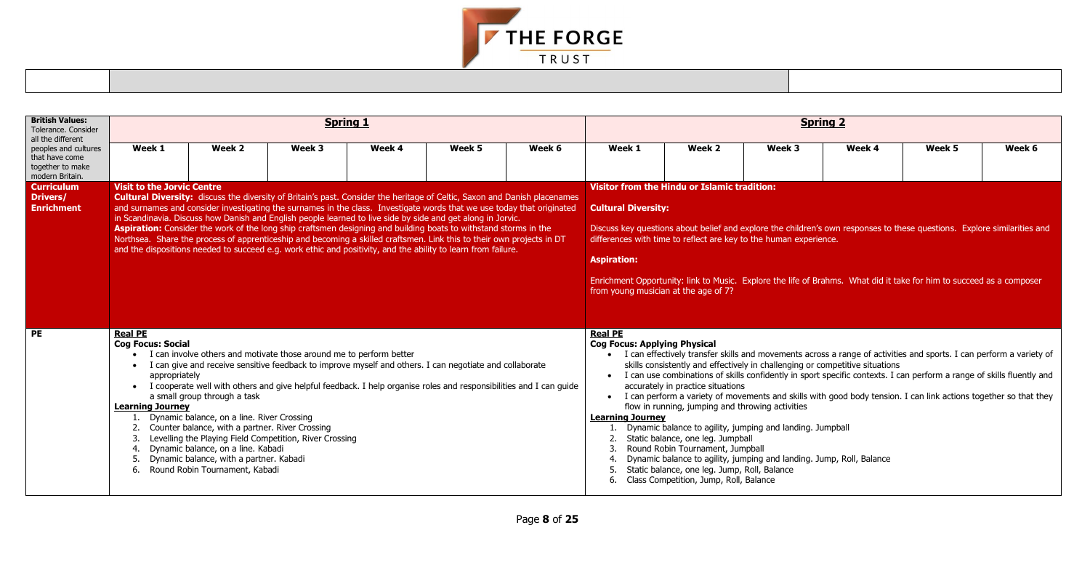

| <b>British Values:</b><br>Tolerance, Consider<br>all the different            |                                                                                                    |                                                                                                                                                                                                                                                  |                                                                                                                                                                                                                                                                                                                                                                                                                                                                                                                                                                                                                                                                                                                                         | <b>Spring 1</b> |        |        |                                                                                          |                                                                                                                                                                                                                                                          |                                                                                                                                                                                                                      | <b>Spring 2</b> |                                                                                                                                                                                                                                                                                                                                                                      |        |  |
|-------------------------------------------------------------------------------|----------------------------------------------------------------------------------------------------|--------------------------------------------------------------------------------------------------------------------------------------------------------------------------------------------------------------------------------------------------|-----------------------------------------------------------------------------------------------------------------------------------------------------------------------------------------------------------------------------------------------------------------------------------------------------------------------------------------------------------------------------------------------------------------------------------------------------------------------------------------------------------------------------------------------------------------------------------------------------------------------------------------------------------------------------------------------------------------------------------------|-----------------|--------|--------|------------------------------------------------------------------------------------------|----------------------------------------------------------------------------------------------------------------------------------------------------------------------------------------------------------------------------------------------------------|----------------------------------------------------------------------------------------------------------------------------------------------------------------------------------------------------------------------|-----------------|----------------------------------------------------------------------------------------------------------------------------------------------------------------------------------------------------------------------------------------------------------------------------------------------------------------------------------------------------------------------|--------|--|
| peoples and cultures<br>that have come<br>together to make<br>modern Britain. | Week 1                                                                                             | Week 2                                                                                                                                                                                                                                           | Week 3                                                                                                                                                                                                                                                                                                                                                                                                                                                                                                                                                                                                                                                                                                                                  | Week 4          | Week 5 | Week 6 | Week 1                                                                                   | Week 2                                                                                                                                                                                                                                                   | Week 3                                                                                                                                                                                                               | Week 4          | Week 5                                                                                                                                                                                                                                                                                                                                                               | Week 6 |  |
| <b>Curriculum</b><br><b>Drivers/</b><br><b>Enrichment</b>                     | <b>Visit to the Jorvic Centre</b>                                                                  |                                                                                                                                                                                                                                                  | <b>Cultural Diversity:</b> discuss the diversity of Britain's past. Consider the heritage of Celtic, Saxon and Danish placenames<br>and surnames and consider investigating the surnames in the class. Investigate words that we use today that originated<br>in Scandinavia. Discuss how Danish and English people learned to live side by side and get along in Jorvic.<br>Aspiration: Consider the work of the long ship craftsmen designing and building boats to withstand storms in the<br>Northsea. Share the process of apprenticeship and becoming a skilled craftsmen. Link this to their own projects in DT<br>and the dispositions needed to succeed e.g. work ethic and positivity, and the ability to learn from failure. |                 |        |        | <b>Cultural Diversity:</b><br><b>Aspiration:</b><br>from young musician at the age of 7? | <b>Visitor from the Hindu or Islamic tradition:</b>                                                                                                                                                                                                      | differences with time to reflect are key to the human experience.                                                                                                                                                    |                 | Discuss key questions about belief and explore the children's own responses to these questions. Explore similarities and<br>Enrichment Opportunity: link to Music. Explore the life of Brahms. What did it take for him to succeed as a composer                                                                                                                     |        |  |
| <b>PE</b>                                                                     | <b>Real PE</b><br><b>Cog Focus: Social</b><br>appropriately<br><b>Learning Journey</b><br>2.<br>6. | a small group through a task<br>Dynamic balance, on a line. River Crossing<br>Counter balance, with a partner. River Crossing<br>Dynamic balance, on a line. Kabadi<br>Dynamic balance, with a partner. Kabadi<br>Round Robin Tournament, Kabadi | I can involve others and motivate those around me to perform better<br>I can give and receive sensitive feedback to improve myself and others. I can negotiate and collaborate<br>• I cooperate well with others and give helpful feedback. I help organise roles and responsibilities and I can guide<br>Levelling the Playing Field Competition, River Crossing                                                                                                                                                                                                                                                                                                                                                                       |                 |        |        | <b>Real PE</b><br><b>Cog Focus: Applying Physical</b><br><b>Learning Journey</b>         | accurately in practice situations<br>flow in running, jumping and throwing activities<br>Static balance, one leg. Jumpball<br>Round Robin Tournament, Jumpball<br>Static balance, one leg. Jump, Roll, Balance<br>Class Competition, Jump, Roll, Balance | skills consistently and effectively in challenging or competitive situations<br>1. Dynamic balance to agility, jumping and landing. Jumpball<br>Dynamic balance to agility, jumping and landing. Jump, Roll, Balance |                 | I can effectively transfer skills and movements across a range of activities and sports. I can perform a variety of<br>• I can use combinations of skills confidently in sport specific contexts. I can perform a range of skills fluently and<br>• I can perform a variety of movements and skills with good body tension. I can link actions together so that they |        |  |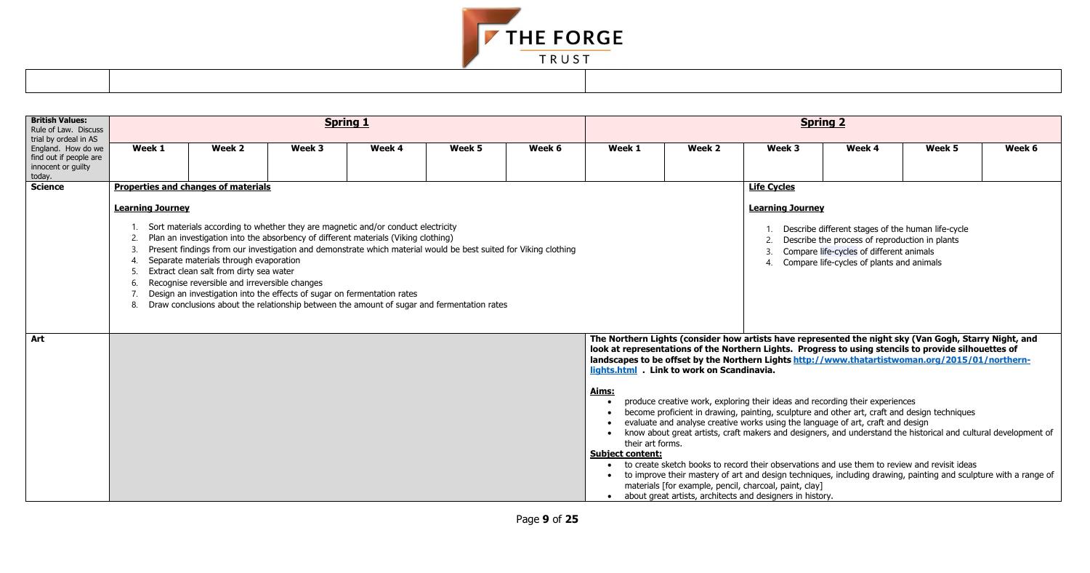

| <b>British Values:</b><br>Rule of Law. Discuss<br>trial by ordeal in AS |                                                                                                                                                                                                                                                                                                                                                                                                                                                                                                                                                                                                                                                                                                                                                                                                                                                                                                                                                                         |                                            |        | <b>Spring 1</b> |        |        |                                                                                                           |        |                                                                                                                                                                                                                                                                                                                                                                                                                                                                                          | <b>Spring 2</b> |                                                                                                                                                                                                                                                                                                                                                                                                                                                |        |
|-------------------------------------------------------------------------|-------------------------------------------------------------------------------------------------------------------------------------------------------------------------------------------------------------------------------------------------------------------------------------------------------------------------------------------------------------------------------------------------------------------------------------------------------------------------------------------------------------------------------------------------------------------------------------------------------------------------------------------------------------------------------------------------------------------------------------------------------------------------------------------------------------------------------------------------------------------------------------------------------------------------------------------------------------------------|--------------------------------------------|--------|-----------------|--------|--------|-----------------------------------------------------------------------------------------------------------|--------|------------------------------------------------------------------------------------------------------------------------------------------------------------------------------------------------------------------------------------------------------------------------------------------------------------------------------------------------------------------------------------------------------------------------------------------------------------------------------------------|-----------------|------------------------------------------------------------------------------------------------------------------------------------------------------------------------------------------------------------------------------------------------------------------------------------------------------------------------------------------------------------------------------------------------------------------------------------------------|--------|
| England. How do we<br>find out if people are                            | Week 1                                                                                                                                                                                                                                                                                                                                                                                                                                                                                                                                                                                                                                                                                                                                                                                                                                                                                                                                                                  | Week 2                                     | Week 3 | Week 4          | Week 5 | Week 6 | Week 1                                                                                                    | Week 2 | Week 3                                                                                                                                                                                                                                                                                                                                                                                                                                                                                   | Week 4          | Week 5                                                                                                                                                                                                                                                                                                                                                                                                                                         | Week 6 |
| innocent or guilty<br>today.                                            |                                                                                                                                                                                                                                                                                                                                                                                                                                                                                                                                                                                                                                                                                                                                                                                                                                                                                                                                                                         |                                            |        |                 |        |        |                                                                                                           |        |                                                                                                                                                                                                                                                                                                                                                                                                                                                                                          |                 |                                                                                                                                                                                                                                                                                                                                                                                                                                                |        |
| <b>Science</b>                                                          |                                                                                                                                                                                                                                                                                                                                                                                                                                                                                                                                                                                                                                                                                                                                                                                                                                                                                                                                                                         | <b>Properties and changes of materials</b> |        |                 |        |        |                                                                                                           |        | <b>Life Cycles</b>                                                                                                                                                                                                                                                                                                                                                                                                                                                                       |                 |                                                                                                                                                                                                                                                                                                                                                                                                                                                |        |
|                                                                         | <b>Learning Journey</b><br><b>Learning Journey</b><br>Sort materials according to whether they are magnetic and/or conduct electricity<br>Describe different stages of the human life-cycle<br>Plan an investigation into the absorbency of different materials (Viking clothing)<br>Describe the process of reproduction in plants<br>Present findings from our investigation and demonstrate which material would be best suited for Viking clothing<br>Compare life-cycles of different animals<br>Separate materials through evaporation<br>Compare life-cycles of plants and animals<br>Extract clean salt from dirty sea water<br>Recognise reversible and irreversible changes<br>Design an investigation into the effects of sugar on fermentation rates<br>Draw conclusions about the relationship between the amount of sugar and fermentation rates<br>The Northern Lights (consider how artists have represented the night sky (Van Gogh, Starry Night, and |                                            |        |                 |        |        |                                                                                                           |        |                                                                                                                                                                                                                                                                                                                                                                                                                                                                                          |                 |                                                                                                                                                                                                                                                                                                                                                                                                                                                |        |
| Art                                                                     |                                                                                                                                                                                                                                                                                                                                                                                                                                                                                                                                                                                                                                                                                                                                                                                                                                                                                                                                                                         |                                            |        |                 |        |        | lights.html . Link to work on Scandinavia.<br><u>Aims:</u><br>their art forms.<br><b>Subject content:</b> |        | produce creative work, exploring their ideas and recording their experiences<br>become proficient in drawing, painting, sculpture and other art, craft and design techniques<br>evaluate and analyse creative works using the language of art, craft and design<br>to create sketch books to record their observations and use them to review and revisit ideas<br>materials [for example, pencil, charcoal, paint, clay]<br>• about great artists, architects and designers in history. |                 | look at representations of the Northern Lights. Progress to using stencils to provide silhouettes of<br>landscapes to be offset by the Northern Lights http://www.thatartistwoman.org/2015/01/northern-<br>know about great artists, craft makers and designers, and understand the historical and cultural development of<br>to improve their mastery of art and design techniques, including drawing, painting and sculpture with a range of |        |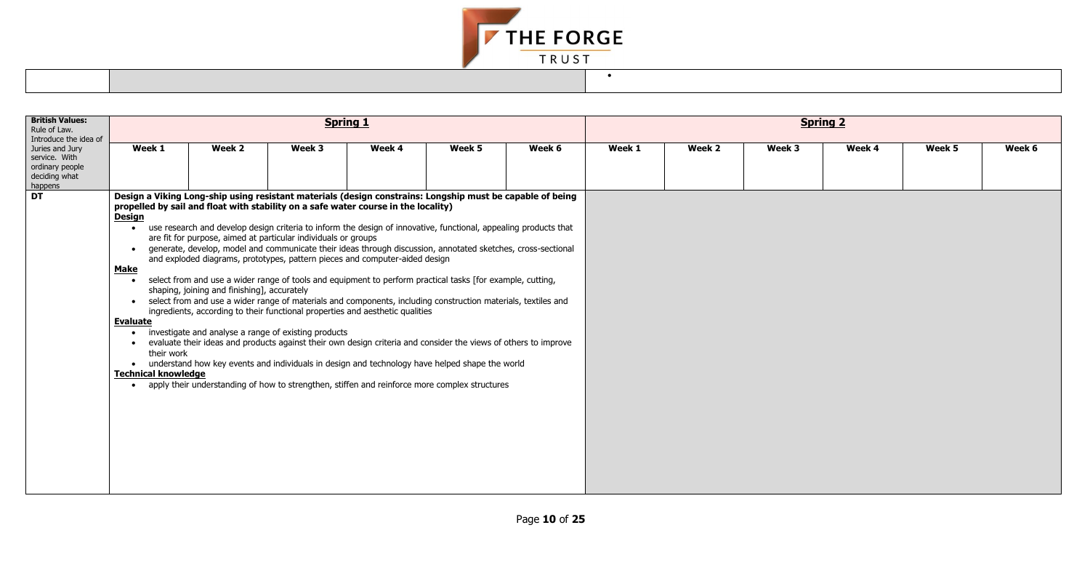

| I |  |  |
|---|--|--|
|   |  |  |

| <b>British Values:</b><br>Rule of Law.<br>Introduce the idea of                 |                                                                                                                                                                                                                                                                                                                          |                                             |                                                                                                                                                                                                                                                                                        | <b>Spring 1</b> |                                                                                                                                                                                                                                                                                                                                                                                                                                                                                                                                                                                                                                                                                                                                                                                           | <b>Spring 2</b> |        |        |        |        |        |        |
|---------------------------------------------------------------------------------|--------------------------------------------------------------------------------------------------------------------------------------------------------------------------------------------------------------------------------------------------------------------------------------------------------------------------|---------------------------------------------|----------------------------------------------------------------------------------------------------------------------------------------------------------------------------------------------------------------------------------------------------------------------------------------|-----------------|-------------------------------------------------------------------------------------------------------------------------------------------------------------------------------------------------------------------------------------------------------------------------------------------------------------------------------------------------------------------------------------------------------------------------------------------------------------------------------------------------------------------------------------------------------------------------------------------------------------------------------------------------------------------------------------------------------------------------------------------------------------------------------------------|-----------------|--------|--------|--------|--------|--------|--------|
| Juries and Jury<br>service. With<br>ordinary people<br>deciding what<br>happens | Week 1                                                                                                                                                                                                                                                                                                                   | Week 2                                      | Week 3                                                                                                                                                                                                                                                                                 | Week 4          | Week 5                                                                                                                                                                                                                                                                                                                                                                                                                                                                                                                                                                                                                                                                                                                                                                                    | Week 6          | Week 1 | Week 2 | Week 3 | Week 4 | Week 5 | Week 6 |
| DT                                                                              | Design a Viking Long-ship using resistant materials (design constrains: Longship must be capable of being<br>propelled by sail and float with stability on a safe water course in the locality)<br><b>Design</b><br>$\bullet$<br><b>Make</b><br>$\bullet$<br><b>Evaluate</b><br>their work<br><b>Technical knowledge</b> | shaping, joining and finishing], accurately | are fit for purpose, aimed at particular individuals or groups<br>and exploded diagrams, prototypes, pattern pieces and computer-aided design<br>ingredients, according to their functional properties and aesthetic qualities<br>investigate and analyse a range of existing products |                 | use research and develop design criteria to inform the design of innovative, functional, appealing products that<br>generate, develop, model and communicate their ideas through discussion, annotated sketches, cross-sectional<br>select from and use a wider range of tools and equipment to perform practical tasks [for example, cutting,<br>select from and use a wider range of materials and components, including construction materials, textiles and<br>evaluate their ideas and products against their own design criteria and consider the views of others to improve<br>• understand how key events and individuals in design and technology have helped shape the world<br>• apply their understanding of how to strengthen, stiffen and reinforce more complex structures |                 |        |        |        |        |        |        |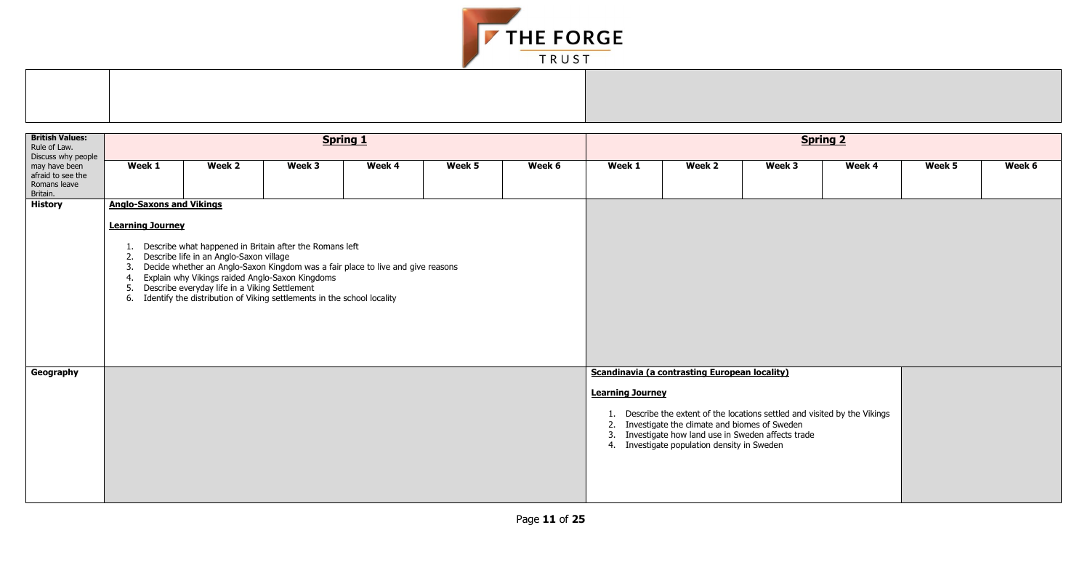

| <b>British Values:</b><br>Rule of Law.<br>Discuss why people   |                                                                                                                                                                                                                                                                                                                                                                                                                                                                 |        |        | <b>Spring 1</b> |        |        | <b>Spring 2</b>                     |                                                                                                                                                                                                                                                                                       |        |        |        |        |  |
|----------------------------------------------------------------|-----------------------------------------------------------------------------------------------------------------------------------------------------------------------------------------------------------------------------------------------------------------------------------------------------------------------------------------------------------------------------------------------------------------------------------------------------------------|--------|--------|-----------------|--------|--------|-------------------------------------|---------------------------------------------------------------------------------------------------------------------------------------------------------------------------------------------------------------------------------------------------------------------------------------|--------|--------|--------|--------|--|
| may have been<br>afraid to see the<br>Romans leave<br>Britain. | Week 1                                                                                                                                                                                                                                                                                                                                                                                                                                                          | Week 2 | Week 3 | Week 4          | Week 5 | Week 6 | Week 1                              | Week 2                                                                                                                                                                                                                                                                                | Week 3 | Week 4 | Week 5 | Week 6 |  |
| <b>History</b>                                                 |                                                                                                                                                                                                                                                                                                                                                                                                                                                                 |        |        |                 |        |        |                                     |                                                                                                                                                                                                                                                                                       |        |        |        |        |  |
|                                                                | <b>Anglo-Saxons and Vikings</b><br><b>Learning Journey</b><br>Describe what happened in Britain after the Romans left<br>Describe life in an Anglo-Saxon village<br>2.<br>Decide whether an Anglo-Saxon Kingdom was a fair place to live and give reasons<br>3.<br>Explain why Vikings raided Anglo-Saxon Kingdoms<br>4.<br>Describe everyday life in a Viking Settlement<br>5.<br>Identify the distribution of Viking settlements in the school locality<br>6. |        |        |                 |        |        |                                     |                                                                                                                                                                                                                                                                                       |        |        |        |        |  |
| Geography                                                      |                                                                                                                                                                                                                                                                                                                                                                                                                                                                 |        |        |                 |        |        | <b>Learning Journey</b><br>2.<br>3. | <b>Scandinavia (a contrasting European locality)</b><br>1. Describe the extent of the locations settled and visited by the Vikings<br>Investigate the climate and biomes of Sweden<br>Investigate how land use in Sweden affects trade<br>4. Investigate population density in Sweden |        |        |        |        |  |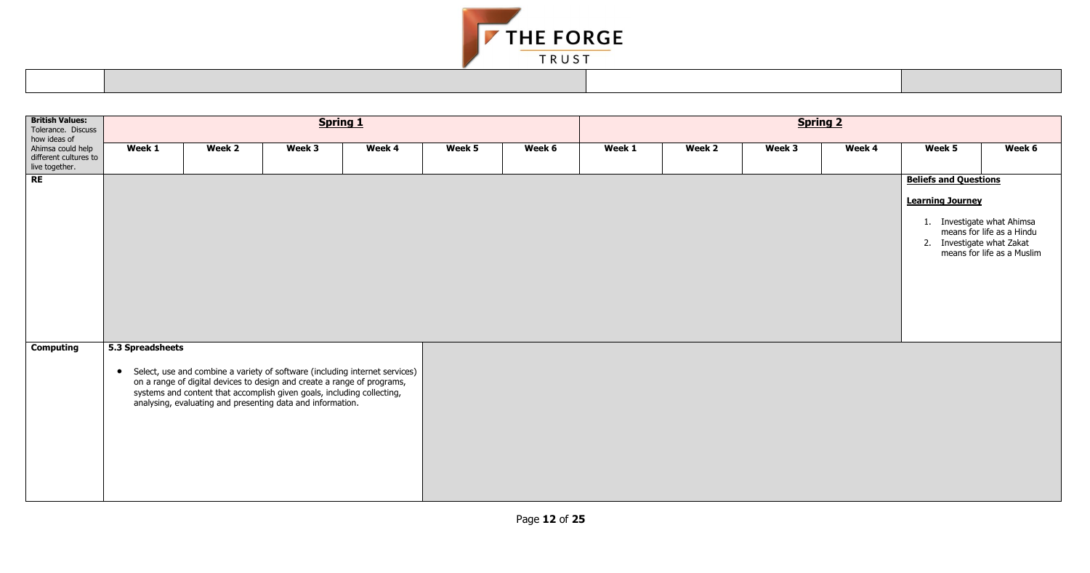

| <b>British Values:</b><br>Tolerance. Discuss<br>how ideas of |                  |        | <b>Spring 1</b>                                                                                                                                                                                                                                                                                  |        |        |        | <b>Spring 2</b> |        |        |        |                                                                                                                    |                                                         |  |  |
|--------------------------------------------------------------|------------------|--------|--------------------------------------------------------------------------------------------------------------------------------------------------------------------------------------------------------------------------------------------------------------------------------------------------|--------|--------|--------|-----------------|--------|--------|--------|--------------------------------------------------------------------------------------------------------------------|---------------------------------------------------------|--|--|
| Ahimsa could help<br>different cultures to<br>live together. | Week 1           | Week 2 | Week 3                                                                                                                                                                                                                                                                                           | Week 4 | Week 5 | Week 6 | Week 1          | Week 2 | Week 3 | Week 4 | Week 5                                                                                                             | Week 6                                                  |  |  |
| $R$ E                                                        |                  |        |                                                                                                                                                                                                                                                                                                  |        |        |        |                 |        |        |        | <b>Beliefs and Questions</b><br><b>Learning Journey</b><br>1. Investigate what Ahimsa<br>2. Investigate what Zakat | means for life as a Hindu<br>means for life as a Muslim |  |  |
| <b>Computing</b>                                             | 5.3 Spreadsheets |        | • Select, use and combine a variety of software (including internet services)<br>on a range of digital devices to design and create a range of programs,<br>systems and content that accomplish given goals, including collecting,<br>analysing, evaluating and presenting data and information. |        |        |        |                 |        |        |        |                                                                                                                    |                                                         |  |  |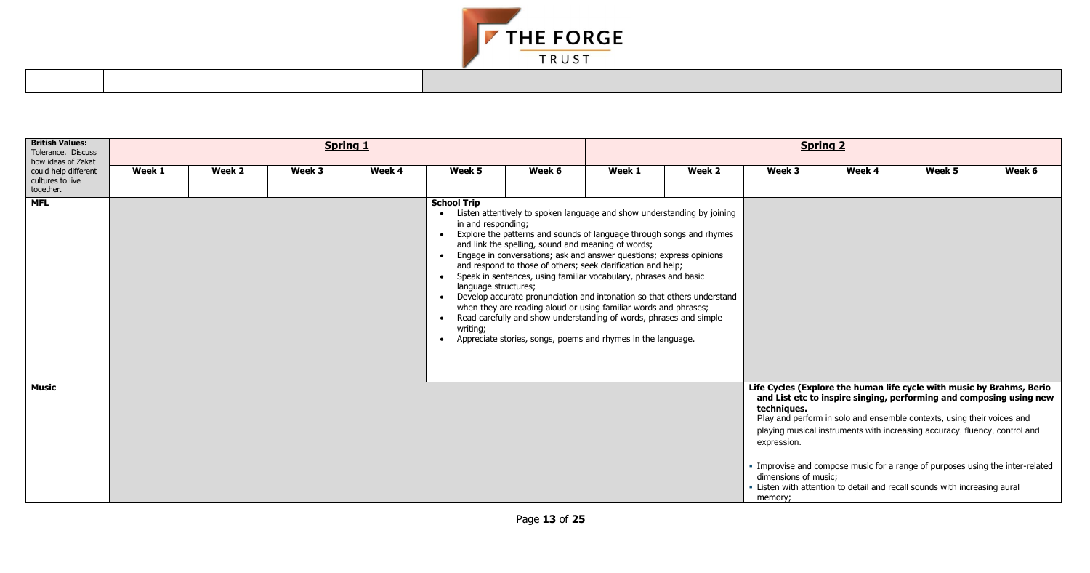

| <b>British Values:</b><br>Tolerance. Discuss<br>how ideas of Zakat |        |        |        | <b>Spring 1</b> |                                                                              |                                                    | <b>Spring 2</b> |                                                                                                                                                                                                                                                                                                                                                                                                                                                                                                                                                                                                                                                         |                                                               |        |                                                                                                                                                                                                                                                                                                                                                                                                                                                                    |        |  |
|--------------------------------------------------------------------|--------|--------|--------|-----------------|------------------------------------------------------------------------------|----------------------------------------------------|-----------------|---------------------------------------------------------------------------------------------------------------------------------------------------------------------------------------------------------------------------------------------------------------------------------------------------------------------------------------------------------------------------------------------------------------------------------------------------------------------------------------------------------------------------------------------------------------------------------------------------------------------------------------------------------|---------------------------------------------------------------|--------|--------------------------------------------------------------------------------------------------------------------------------------------------------------------------------------------------------------------------------------------------------------------------------------------------------------------------------------------------------------------------------------------------------------------------------------------------------------------|--------|--|
| could help different<br>cultures to live<br>together.              | Week 1 | Week 2 | Week 3 | Week 4          | Week 5                                                                       | Week 6                                             | Week 1          | Week 2                                                                                                                                                                                                                                                                                                                                                                                                                                                                                                                                                                                                                                                  | Week 3                                                        | Week 4 | Week 5                                                                                                                                                                                                                                                                                                                                                                                                                                                             | Week 6 |  |
| <b>MFL</b>                                                         |        |        |        |                 | <b>School Trip</b><br>in and responding;<br>language structures;<br>writing; | and link the spelling, sound and meaning of words; |                 | Listen attentively to spoken language and show understanding by joining<br>• Explore the patterns and sounds of language through songs and rhymes<br>• Engage in conversations; ask and answer questions; express opinions<br>and respond to those of others; seek clarification and help;<br>• Speak in sentences, using familiar vocabulary, phrases and basic<br>• Develop accurate pronunciation and intonation so that others understand<br>when they are reading aloud or using familiar words and phrases;<br>Read carefully and show understanding of words, phrases and simple<br>Appreciate stories, songs, poems and rhymes in the language. |                                                               |        |                                                                                                                                                                                                                                                                                                                                                                                                                                                                    |        |  |
| <b>Music</b>                                                       |        |        |        |                 |                                                                              |                                                    |                 |                                                                                                                                                                                                                                                                                                                                                                                                                                                                                                                                                                                                                                                         | techniques.<br>expression.<br>dimensions of music;<br>memory; |        | Life Cycles (Explore the human life cycle with music by Brahms, Berio<br>and List etc to inspire singing, performing and composing using new<br>Play and perform in solo and ensemble contexts, using their voices and<br>playing musical instruments with increasing accuracy, fluency, control and<br>· Improvise and compose music for a range of purposes using the inter-related<br>• Listen with attention to detail and recall sounds with increasing aural |        |  |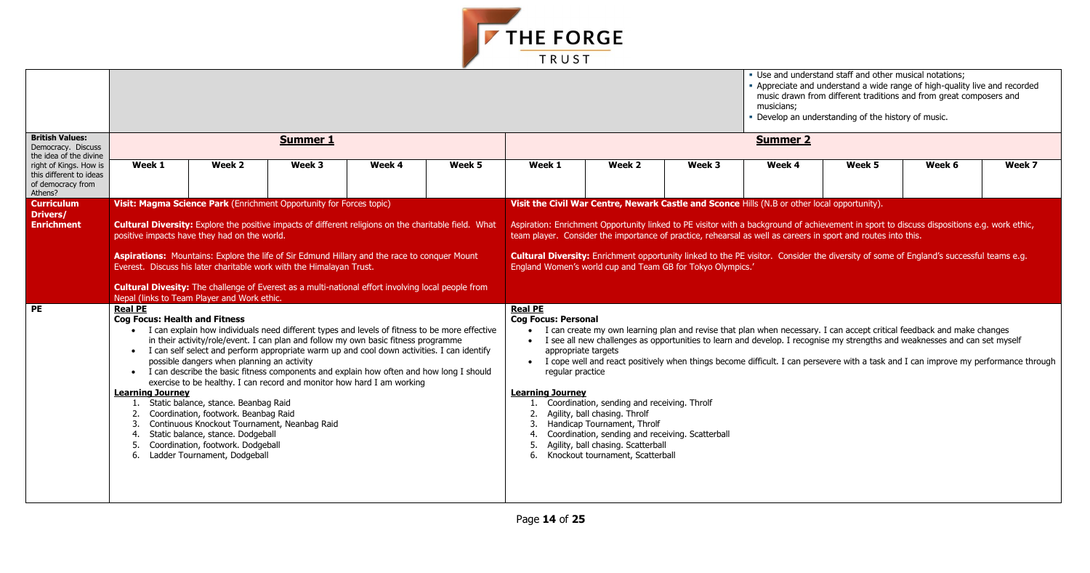

| Use and understand staff and other musical notations;         |
|---------------------------------------------------------------|
| $\Box$ Annualate and undeveloped a wide vance of high quality |

**•** Appreciate and understand a wide range of high-quality live and recorded music drawn from different traditions and from great composers and

- 
- musicians;
- **Develop an understanding of the history of music.**

| <b>British Values:</b><br>Democracy. Discuss<br>the idea of the divine            |                                                                                         |                                                                                                                                                                                                                                                                                                                                                                                                                                                                                                                                                                                                                                                                                                                                                      | <b>Summer 1</b> |        |        | <b>Summer 2</b>                                                                                                                                                                                                                                                                                                                                                                                                                                                                                                                                                     |                                                                                                                                                                                                                                           |        |        |        |                                                                                                                                                                                                                                                                                                                                                                                             |        |  |
|-----------------------------------------------------------------------------------|-----------------------------------------------------------------------------------------|------------------------------------------------------------------------------------------------------------------------------------------------------------------------------------------------------------------------------------------------------------------------------------------------------------------------------------------------------------------------------------------------------------------------------------------------------------------------------------------------------------------------------------------------------------------------------------------------------------------------------------------------------------------------------------------------------------------------------------------------------|-----------------|--------|--------|---------------------------------------------------------------------------------------------------------------------------------------------------------------------------------------------------------------------------------------------------------------------------------------------------------------------------------------------------------------------------------------------------------------------------------------------------------------------------------------------------------------------------------------------------------------------|-------------------------------------------------------------------------------------------------------------------------------------------------------------------------------------------------------------------------------------------|--------|--------|--------|---------------------------------------------------------------------------------------------------------------------------------------------------------------------------------------------------------------------------------------------------------------------------------------------------------------------------------------------------------------------------------------------|--------|--|
| right of Kings. How is<br>this different to ideas<br>of democracy from<br>Athens? | Week 1                                                                                  | Week 2                                                                                                                                                                                                                                                                                                                                                                                                                                                                                                                                                                                                                                                                                                                                               | Week 3          | Week 4 | Week 5 | Week 1                                                                                                                                                                                                                                                                                                                                                                                                                                                                                                                                                              | Week 2                                                                                                                                                                                                                                    | Week 3 | Week 4 | Week 5 | Week 6                                                                                                                                                                                                                                                                                                                                                                                      | Week 7 |  |
| <b>Curriculum</b><br><b>Drivers/</b><br><b>Enrichment</b>                         |                                                                                         | Visit: Magma Science Park (Enrichment Opportunity for Forces topic)<br><b>Cultural Diversity:</b> Explore the positive impacts of different religions on the charitable field. What<br>positive impacts have they had on the world.<br>Aspirations: Mountains: Explore the life of Sir Edmund Hillary and the race to conquer Mount<br>Everest. Discuss his later charitable work with the Himalayan Trust.<br><b>Cultural Divesity:</b> The challenge of Everest as a multi-national effort involving local people from<br>Nepal (links to Team Player and Work ethic.                                                                                                                                                                              |                 |        |        | Visit the Civil War Centre, Newark Castle and Sconce Hills (N.B or other local opportunity).<br>Aspiration: Enrichment Opportunity linked to PE visitor with a background of achievement in sport to discuss dispositions e.g. work ethic,<br>team player. Consider the importance of practice, rehearsal as well as careers in sport and routes into this.<br>Cultural Diversity: Enrichment opportunity linked to the PE visitor. Consider the diversity of some of England's successful teams e.g.<br>England Women's world cup and Team GB for Tokyo Olympics.' |                                                                                                                                                                                                                                           |        |        |        |                                                                                                                                                                                                                                                                                                                                                                                             |        |  |
| <b>PE</b>                                                                         | <b>Real PE</b><br><b>Cog Focus: Health and Fitness</b><br><b>Learning Journey</b><br>6. | • I can explain how individuals need different types and levels of fitness to be more effective<br>in their activity/role/event. I can plan and follow my own basic fitness programme<br>• I can self select and perform appropriate warm up and cool down activities. I can identify<br>possible dangers when planning an activity<br>• I can describe the basic fitness components and explain how often and how long I should<br>exercise to be healthy. I can record and monitor how hard I am working<br>Static balance, stance. Beanbag Raid<br>Coordination, footwork. Beanbag Raid<br>Continuous Knockout Tournament, Neanbag Raid<br>Static balance, stance. Dodgeball<br>Coordination, footwork. Dodgeball<br>Ladder Tournament, Dodgeball |                 |        |        | <b>Real PE</b><br><b>Cog Focus: Personal</b><br>$\bullet$<br>appropriate targets<br>$\bullet$<br>regular practice<br><b>Learning Journey</b><br>6.                                                                                                                                                                                                                                                                                                                                                                                                                  | Coordination, sending and receiving. Throlf<br>Agility, ball chasing. Throlf<br>Handicap Tournament, Throlf<br>Coordination, sending and receiving. Scatterball<br>Agility, ball chasing. Scatterball<br>Knockout tournament, Scatterball |        |        |        | I can create my own learning plan and revise that plan when necessary. I can accept critical feedback and make changes<br>I see all new challenges as opportunities to learn and develop. I recognise my strengths and weaknesses and can set myself<br>I cope well and react positively when things become difficult. I can persevere with a task and I can improve my performance through |        |  |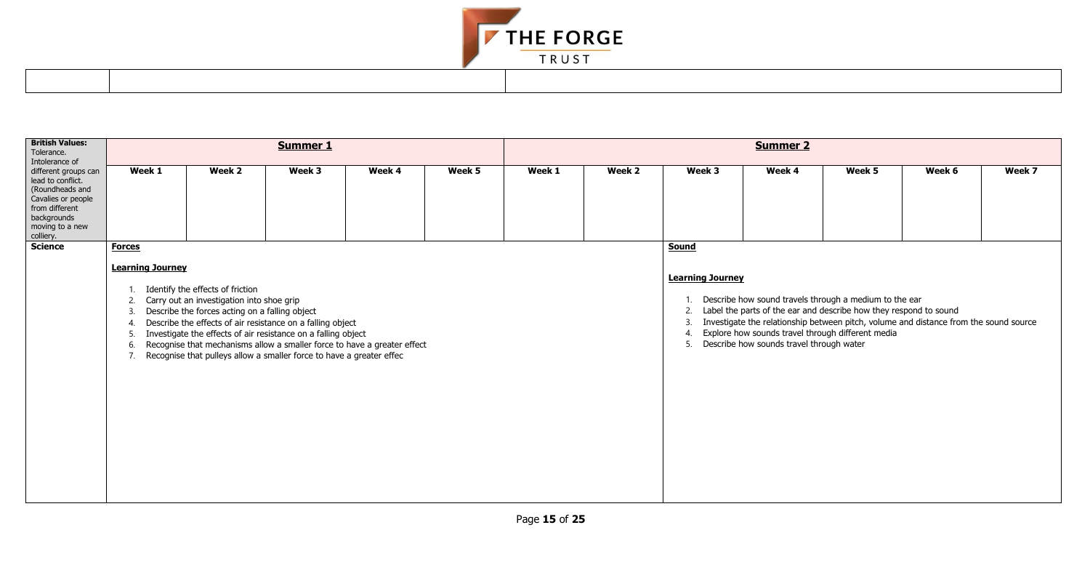

| <b>British Values:</b><br>Tolerance.<br>Intolerance of                                                                                              |                                                       |                                                                                                                                                                                                                                                                                                                                                                                                                    | <b>Summer 1</b> |        |        | <b>Summer 2</b> |        |                               |                                                                                                                                                                                                                              |        |                                                                                       |        |
|-----------------------------------------------------------------------------------------------------------------------------------------------------|-------------------------------------------------------|--------------------------------------------------------------------------------------------------------------------------------------------------------------------------------------------------------------------------------------------------------------------------------------------------------------------------------------------------------------------------------------------------------------------|-----------------|--------|--------|-----------------|--------|-------------------------------|------------------------------------------------------------------------------------------------------------------------------------------------------------------------------------------------------------------------------|--------|---------------------------------------------------------------------------------------|--------|
| different groups can<br>lead to conflict.<br>(Roundheads and<br>Cavalies or people<br>from different<br>backgrounds<br>moving to a new<br>colliery. | Week 1                                                | Week 2                                                                                                                                                                                                                                                                                                                                                                                                             | Week 3          | Week 4 | Week 5 | Week 1          | Week 2 | Week 3                        | Week 4                                                                                                                                                                                                                       | Week 5 | Week 6                                                                                | Week 7 |
| <b>Science</b>                                                                                                                                      | <b>Forces</b>                                         |                                                                                                                                                                                                                                                                                                                                                                                                                    |                 |        |        | <b>Sound</b>    |        |                               |                                                                                                                                                                                                                              |        |                                                                                       |        |
|                                                                                                                                                     | <b>Learning Journey</b><br>2.<br>3.<br>4.<br>6.<br>7. | Identify the effects of friction<br>Carry out an investigation into shoe grip<br>Describe the forces acting on a falling object<br>Describe the effects of air resistance on a falling object<br>Investigate the effects of air resistance on a falling object<br>Recognise that mechanisms allow a smaller force to have a greater effect<br>Recognise that pulleys allow a smaller force to have a greater effec |                 |        |        |                 |        | <b>Learning Journey</b><br>5. | Describe how sound travels through a medium to the ear<br>Label the parts of the ear and describe how they respond to sound<br>Explore how sounds travel through different media<br>Describe how sounds travel through water |        | Investigate the relationship between pitch, volume and distance from the sound source |        |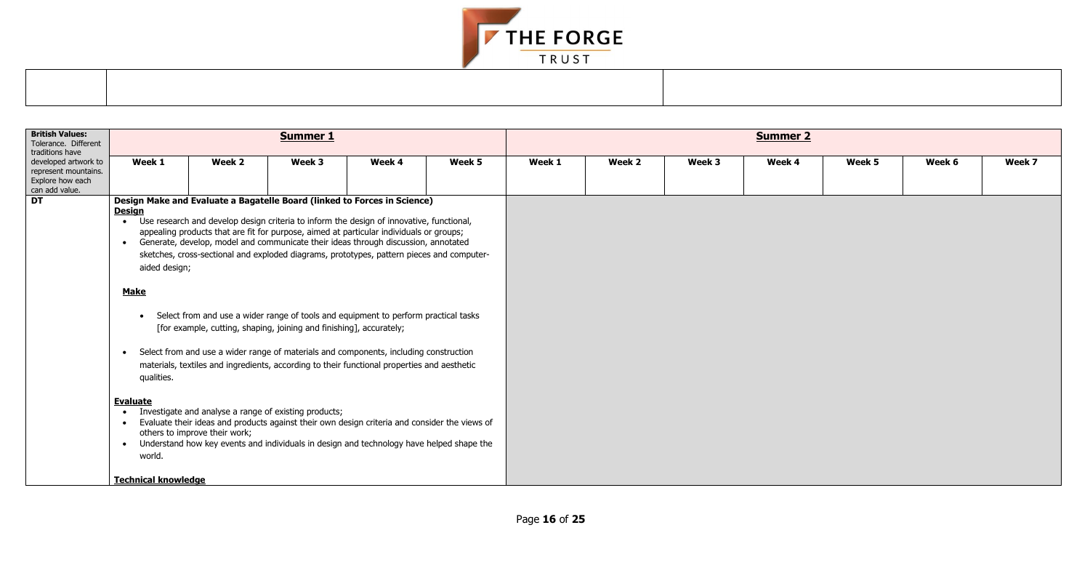

| <b>British Values:</b><br>Tolerance. Different<br>traditions have | <b>Summer 1</b>              |                                                                                                                                                                                       |        |        |        |        | <b>Summer 2</b> |        |        |        |        |        |  |  |  |
|-------------------------------------------------------------------|------------------------------|---------------------------------------------------------------------------------------------------------------------------------------------------------------------------------------|--------|--------|--------|--------|-----------------|--------|--------|--------|--------|--------|--|--|--|
| developed artwork to<br>represent mountains.                      | Week 1                       | Week 2                                                                                                                                                                                | Week 3 | Week 4 | Week 5 | Week 1 | Week 2          | Week 3 | Week 4 | Week 5 | Week 6 | Week 7 |  |  |  |
| Explore how each                                                  |                              |                                                                                                                                                                                       |        |        |        |        |                 |        |        |        |        |        |  |  |  |
| can add value.<br>DT                                              |                              | Design Make and Evaluate a Bagatelle Board (linked to Forces in Science)                                                                                                              |        |        |        |        |                 |        |        |        |        |        |  |  |  |
|                                                                   | <b>Design</b>                |                                                                                                                                                                                       |        |        |        |        |                 |        |        |        |        |        |  |  |  |
|                                                                   |                              | • Use research and develop design criteria to inform the design of innovative, functional,<br>appealing products that are fit for purpose, aimed at particular individuals or groups; |        |        |        |        |                 |        |        |        |        |        |  |  |  |
|                                                                   |                              | • Generate, develop, model and communicate their ideas through discussion, annotated                                                                                                  |        |        |        |        |                 |        |        |        |        |        |  |  |  |
|                                                                   |                              | sketches, cross-sectional and exploded diagrams, prototypes, pattern pieces and computer-                                                                                             |        |        |        |        |                 |        |        |        |        |        |  |  |  |
|                                                                   | aided design;                |                                                                                                                                                                                       |        |        |        |        |                 |        |        |        |        |        |  |  |  |
|                                                                   |                              |                                                                                                                                                                                       |        |        |        |        |                 |        |        |        |        |        |  |  |  |
|                                                                   | <b>Make</b>                  |                                                                                                                                                                                       |        |        |        |        |                 |        |        |        |        |        |  |  |  |
|                                                                   |                              | Select from and use a wider range of tools and equipment to perform practical tasks                                                                                                   |        |        |        |        |                 |        |        |        |        |        |  |  |  |
|                                                                   |                              | [for example, cutting, shaping, joining and finishing], accurately;                                                                                                                   |        |        |        |        |                 |        |        |        |        |        |  |  |  |
|                                                                   |                              | Select from and use a wider range of materials and components, including construction                                                                                                 |        |        |        |        |                 |        |        |        |        |        |  |  |  |
|                                                                   | $\bullet$                    | materials, textiles and ingredients, according to their functional properties and aesthetic                                                                                           |        |        |        |        |                 |        |        |        |        |        |  |  |  |
|                                                                   | qualities.                   |                                                                                                                                                                                       |        |        |        |        |                 |        |        |        |        |        |  |  |  |
|                                                                   |                              |                                                                                                                                                                                       |        |        |        |        |                 |        |        |        |        |        |  |  |  |
|                                                                   | <b>Evaluate</b><br>$\bullet$ | Investigate and analyse a range of existing products;                                                                                                                                 |        |        |        |        |                 |        |        |        |        |        |  |  |  |
|                                                                   | $\bullet$                    | Evaluate their ideas and products against their own design criteria and consider the views of                                                                                         |        |        |        |        |                 |        |        |        |        |        |  |  |  |
|                                                                   |                              | others to improve their work;                                                                                                                                                         |        |        |        |        |                 |        |        |        |        |        |  |  |  |
|                                                                   | $\bullet$<br>world.          | Understand how key events and individuals in design and technology have helped shape the                                                                                              |        |        |        |        |                 |        |        |        |        |        |  |  |  |
|                                                                   |                              |                                                                                                                                                                                       |        |        |        |        |                 |        |        |        |        |        |  |  |  |
|                                                                   | <b>Technical knowledge</b>   |                                                                                                                                                                                       |        |        |        |        |                 |        |        |        |        |        |  |  |  |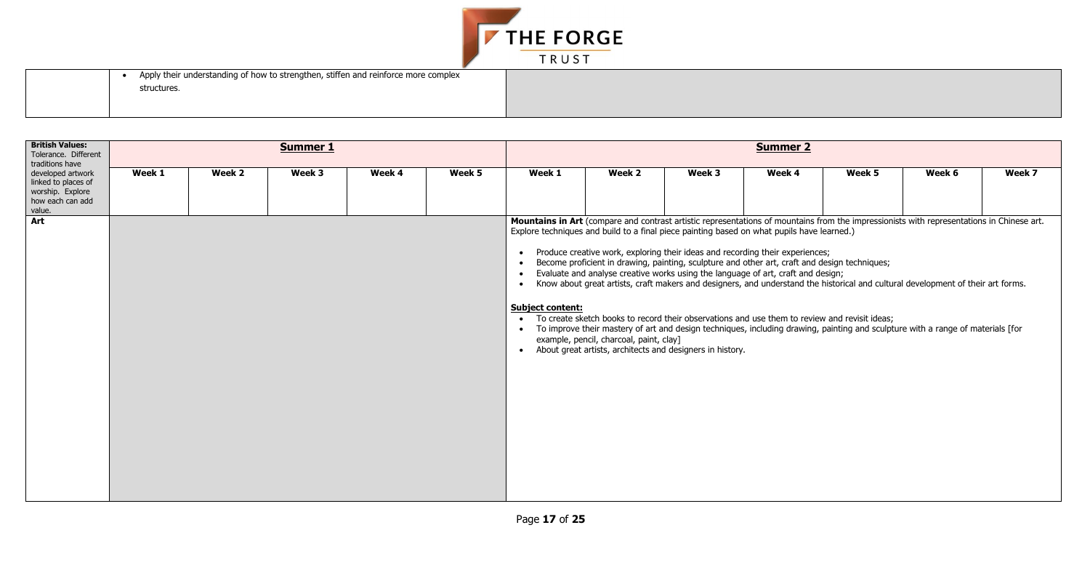| k 5                                               | Week 6                                     | Week 7 |  |  |  |  |  |  |  |
|---------------------------------------------------|--------------------------------------------|--------|--|--|--|--|--|--|--|
|                                                   |                                            |        |  |  |  |  |  |  |  |
| pressionists with representations in Chinese art. |                                            |        |  |  |  |  |  |  |  |
| iques;                                            |                                            |        |  |  |  |  |  |  |  |
| nd cultural development of their art forms.       |                                            |        |  |  |  |  |  |  |  |
| t ideas;                                          | d sculpture with a range of materials [for |        |  |  |  |  |  |  |  |



| Apply their understanding of how to strengthen, stiffen and reinforce more complex |  |
|------------------------------------------------------------------------------------|--|
| structures.                                                                        |  |
|                                                                                    |  |
|                                                                                    |  |

| <b>British Values:</b><br>Tolerance. Different<br>traditions have |        |        | <b>Summer 1</b> |        |        | <b>Summer 2</b>                                                                          |                                                                                                                                                                                                                                                                                                                                                                                                                                                                                                                                                                           |        |        |        |                                                                                                                                                                                                                                                                                                                                                                                                                  |        |  |  |
|-------------------------------------------------------------------|--------|--------|-----------------|--------|--------|------------------------------------------------------------------------------------------|---------------------------------------------------------------------------------------------------------------------------------------------------------------------------------------------------------------------------------------------------------------------------------------------------------------------------------------------------------------------------------------------------------------------------------------------------------------------------------------------------------------------------------------------------------------------------|--------|--------|--------|------------------------------------------------------------------------------------------------------------------------------------------------------------------------------------------------------------------------------------------------------------------------------------------------------------------------------------------------------------------------------------------------------------------|--------|--|--|
| developed artwork<br>linked to places of                          | Week 1 | Week 2 | Week 3          | Week 4 | Week 5 | Week 1                                                                                   | Week 2                                                                                                                                                                                                                                                                                                                                                                                                                                                                                                                                                                    | Week 3 | Week 4 | Week 5 | Week 6                                                                                                                                                                                                                                                                                                                                                                                                           | Week 7 |  |  |
| worship. Explore                                                  |        |        |                 |        |        |                                                                                          |                                                                                                                                                                                                                                                                                                                                                                                                                                                                                                                                                                           |        |        |        |                                                                                                                                                                                                                                                                                                                                                                                                                  |        |  |  |
| how each can add<br>value.                                        |        |        |                 |        |        |                                                                                          |                                                                                                                                                                                                                                                                                                                                                                                                                                                                                                                                                                           |        |        |        |                                                                                                                                                                                                                                                                                                                                                                                                                  |        |  |  |
| Art                                                               |        |        |                 |        |        | $\bullet$<br>$\bullet$<br><b>Subject content:</b><br>$\bullet$<br>$\bullet$<br>$\bullet$ | Explore techniques and build to a final piece painting based on what pupils have learned.)<br>Produce creative work, exploring their ideas and recording their experiences;<br>Become proficient in drawing, painting, sculpture and other art, craft and design techniques;<br>Evaluate and analyse creative works using the language of art, craft and design;<br>To create sketch books to record their observations and use them to review and revisit ideas;<br>example, pencil, charcoal, paint, clay]<br>About great artists, architects and designers in history. |        |        |        | Mountains in Art (compare and contrast artistic representations of mountains from the impressionists with representations in Chinese art.<br>Know about great artists, craft makers and designers, and understand the historical and cultural development of their art forms.<br>To improve their mastery of art and design techniques, including drawing, painting and sculpture with a range of materials [for |        |  |  |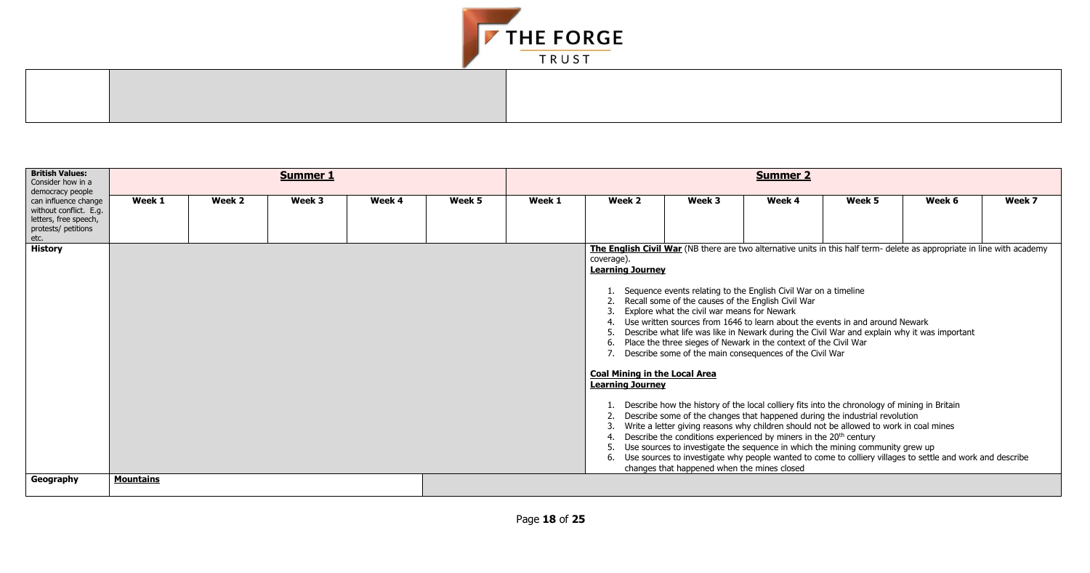| k 5                                                                                                                                                  | Week 6                                          | Week 7 |  |  |  |  |  |  |  |  |
|------------------------------------------------------------------------------------------------------------------------------------------------------|-------------------------------------------------|--------|--|--|--|--|--|--|--|--|
|                                                                                                                                                      | erm- delete as appropriate in line with academy |        |  |  |  |  |  |  |  |  |
| d around Newark                                                                                                                                      | explain why it was important                    |        |  |  |  |  |  |  |  |  |
| ology of mining in Britain<br>rial revolution:<br>d to work in coal mines<br>ury<br>ommunity grew up<br>ery villages to settle and work and describe |                                                 |        |  |  |  |  |  |  |  |  |
|                                                                                                                                                      |                                                 |        |  |  |  |  |  |  |  |  |



| <b>British Values:</b><br>Consider how in a<br>democracy people                                        |                  |        | <b>Summer 1</b> |        |        |        | <b>Summer 2</b>                                                                                                      |                                                                                                                                                  |                                                                                                                                                                                                                                                                                                                                                                                                                                                                                                                                                                                                                                                                                                                                                                                                                          |        |                                                                                                                                                                                                                                      |        |  |  |  |
|--------------------------------------------------------------------------------------------------------|------------------|--------|-----------------|--------|--------|--------|----------------------------------------------------------------------------------------------------------------------|--------------------------------------------------------------------------------------------------------------------------------------------------|--------------------------------------------------------------------------------------------------------------------------------------------------------------------------------------------------------------------------------------------------------------------------------------------------------------------------------------------------------------------------------------------------------------------------------------------------------------------------------------------------------------------------------------------------------------------------------------------------------------------------------------------------------------------------------------------------------------------------------------------------------------------------------------------------------------------------|--------|--------------------------------------------------------------------------------------------------------------------------------------------------------------------------------------------------------------------------------------|--------|--|--|--|
| can influence change<br>without conflict. E.g.<br>letters, free speech,<br>protests/ petitions<br>etc. | Week 1           | Week 2 | Week 3          | Week 4 | Week 5 | Week 1 | Week 2                                                                                                               | Week 3                                                                                                                                           | Week 4                                                                                                                                                                                                                                                                                                                                                                                                                                                                                                                                                                                                                                                                                                                                                                                                                   | Week 5 | Week 6                                                                                                                                                                                                                               | Week 7 |  |  |  |
| <b>History</b>                                                                                         |                  |        |                 |        |        |        | coverage).<br><b>Learning Journey</b><br>6.<br><b>Coal Mining in the Local Area</b><br><b>Learning Journey</b><br>6. | Recall some of the causes of the English Civil War<br>Explore what the civil war means for Newark<br>changes that happened when the mines closed | Sequence events relating to the English Civil War on a timeline<br>Use written sources from 1646 to learn about the events in and around Newark<br>Describe what life was like in Newark during the Civil War and explain why it was important<br>Place the three sieges of Newark in the context of the Civil War<br>Describe some of the main consequences of the Civil War<br>Describe how the history of the local colliery fits into the chronology of mining in Britain<br>Describe some of the changes that happened during the industrial revolution<br>Write a letter giving reasons why children should not be allowed to work in coal mines<br>Describe the conditions experienced by miners in the 20 <sup>th</sup> century<br>Use sources to investigate the sequence in which the mining community grew up |        | The English Civil War (NB there are two alternative units in this half term- delete as appropriate in line with academy<br>Use sources to investigate why people wanted to come to colliery villages to settle and work and describe |        |  |  |  |
| Geography                                                                                              | <b>Mountains</b> |        |                 |        |        |        |                                                                                                                      |                                                                                                                                                  |                                                                                                                                                                                                                                                                                                                                                                                                                                                                                                                                                                                                                                                                                                                                                                                                                          |        |                                                                                                                                                                                                                                      |        |  |  |  |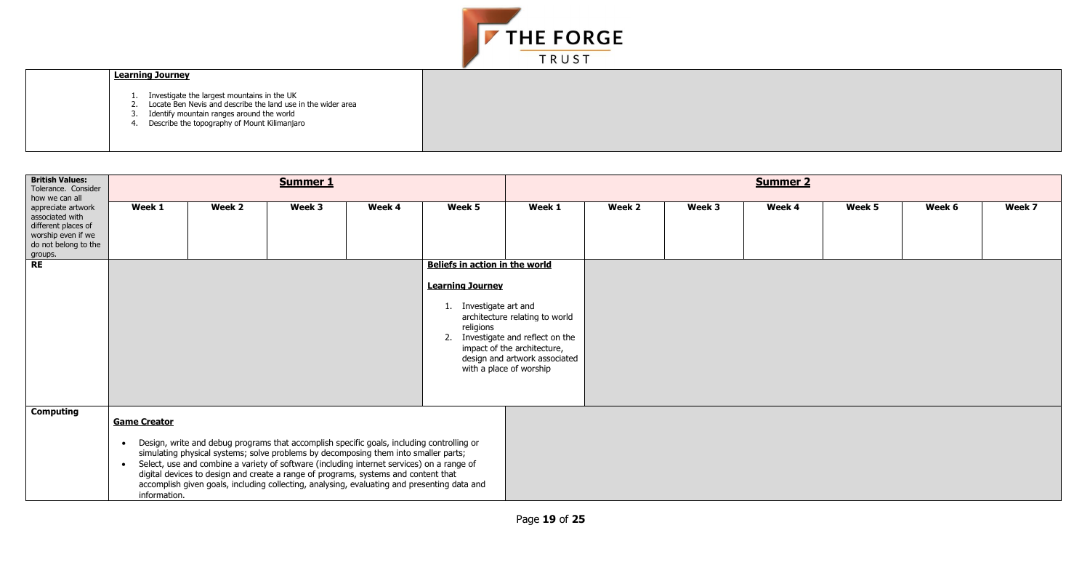

### **Learning Journey**

- 1. Investigate the largest mountains in the UK
- 2. Locate Ben Nevis and describe the land use in the wider area
- 3. Identify mountain ranges around the world
- 4. Describe the topography of Mount Kilimanjaro

| <b>British Values:</b><br>Tolerance. Consider                                                                                           |                                                                                                                                                                                                                                                                                                                                                                                                                                                                                                                                     |        | <b>Summer 1</b> |        |        | <b>Summer 2</b>                                                                                                                                             |        |        |        |        |        |        |  |  |  |
|-----------------------------------------------------------------------------------------------------------------------------------------|-------------------------------------------------------------------------------------------------------------------------------------------------------------------------------------------------------------------------------------------------------------------------------------------------------------------------------------------------------------------------------------------------------------------------------------------------------------------------------------------------------------------------------------|--------|-----------------|--------|--------|-------------------------------------------------------------------------------------------------------------------------------------------------------------|--------|--------|--------|--------|--------|--------|--|--|--|
| how we can all<br>appreciate artwork<br>associated with<br>different places of<br>worship even if we<br>do not belong to the<br>groups. | Week 1                                                                                                                                                                                                                                                                                                                                                                                                                                                                                                                              | Week 2 | Week 3          | Week 4 | Week 5 | Week 1                                                                                                                                                      | Week 2 | Week 3 | Week 4 | Week 5 | Week 6 | Week 7 |  |  |  |
| RE                                                                                                                                      | <b>Beliefs in action in the world</b><br><b>Learning Journey</b><br>Investigate art and<br>religions<br>2.                                                                                                                                                                                                                                                                                                                                                                                                                          |        |                 |        |        | architecture relating to world<br>Investigate and reflect on the<br>impact of the architecture,<br>design and artwork associated<br>with a place of worship |        |        |        |        |        |        |  |  |  |
| <b>Computing</b>                                                                                                                        | <b>Game Creator</b><br>Design, write and debug programs that accomplish specific goals, including controlling or<br>$\bullet$<br>simulating physical systems; solve problems by decomposing them into smaller parts;<br>Select, use and combine a variety of software (including internet services) on a range of<br>$\bullet$<br>digital devices to design and create a range of programs, systems and content that<br>accomplish given goals, including collecting, analysing, evaluating and presenting data and<br>information. |        |                 |        |        |                                                                                                                                                             |        |        |        |        |        |        |  |  |  |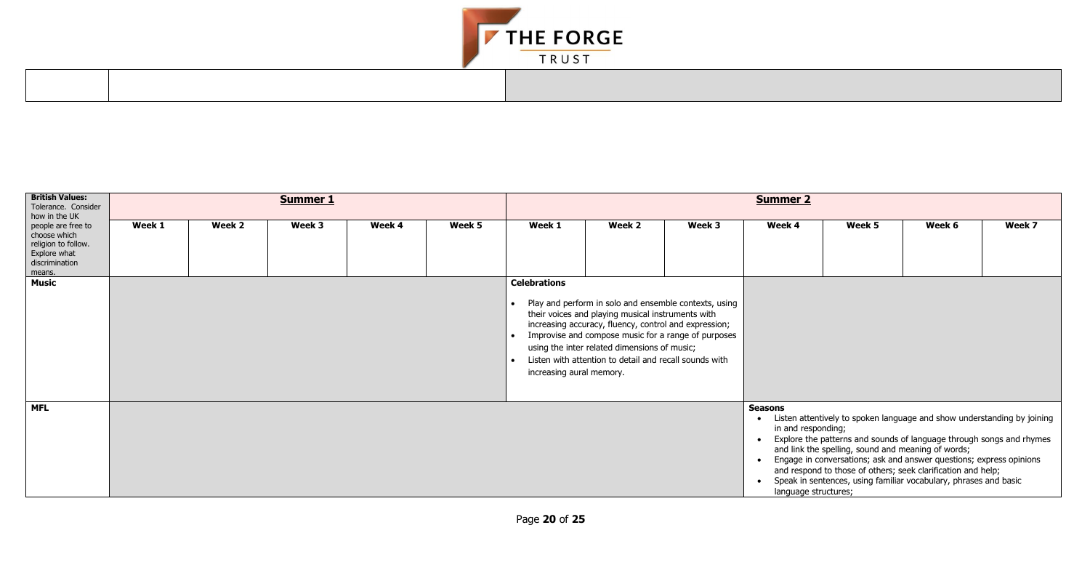

| <b>British Values:</b><br>Tolerance. Consider                                                                          |                                                                                                                                                                                                                                                                                                                                                                                         |        | <b>Summer 1</b> |        |        | <b>Summer 2</b> |        |        |                                                              |                                                    |                                                                                                                                                                                                                                                                                                                                                            |        |  |  |
|------------------------------------------------------------------------------------------------------------------------|-----------------------------------------------------------------------------------------------------------------------------------------------------------------------------------------------------------------------------------------------------------------------------------------------------------------------------------------------------------------------------------------|--------|-----------------|--------|--------|-----------------|--------|--------|--------------------------------------------------------------|----------------------------------------------------|------------------------------------------------------------------------------------------------------------------------------------------------------------------------------------------------------------------------------------------------------------------------------------------------------------------------------------------------------------|--------|--|--|
| how in the UK<br>people are free to<br>choose which<br>religion to follow.<br>Explore what<br>discrimination<br>means. | Week 1                                                                                                                                                                                                                                                                                                                                                                                  | Week 2 | Week 3          | Week 4 | Week 5 | Week 1          | Week 2 | Week 3 | Week 4                                                       | Week 5                                             | Week 6                                                                                                                                                                                                                                                                                                                                                     | Week 7 |  |  |
| <b>Music</b>                                                                                                           | <b>Celebrations</b><br>Play and perform in solo and ensemble contexts, using<br>their voices and playing musical instruments with<br>increasing accuracy, fluency, control and expression;<br>Improvise and compose music for a range of purposes<br>using the inter related dimensions of music;<br>Listen with attention to detail and recall sounds with<br>increasing aural memory. |        |                 |        |        |                 |        |        |                                                              |                                                    |                                                                                                                                                                                                                                                                                                                                                            |        |  |  |
| <b>MFL</b>                                                                                                             |                                                                                                                                                                                                                                                                                                                                                                                         |        |                 |        |        |                 |        |        | <b>Seasons</b><br>in and responding;<br>language structures; | and link the spelling, sound and meaning of words; | Listen attentively to spoken language and show understanding by joining<br>Explore the patterns and sounds of language through songs and rhymes<br>Engage in conversations; ask and answer questions; express opinions<br>and respond to those of others; seek clarification and help;<br>Speak in sentences, using familiar vocabulary, phrases and basic |        |  |  |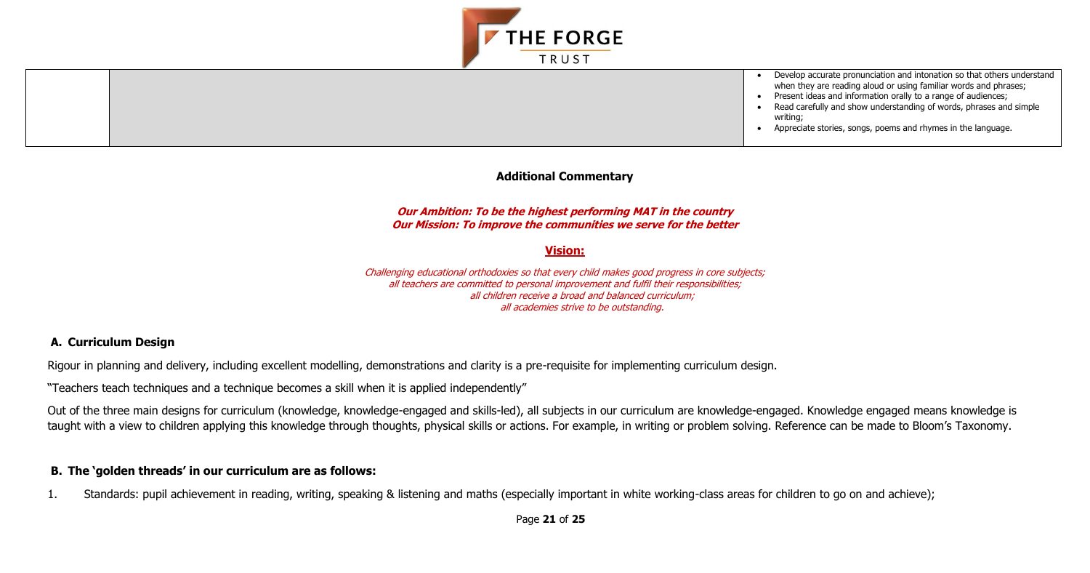• Develop accurate pronunciation and intonation so that others understand when they are reading aloud or using familiar words and phrases; • Present ideas and information orally to a range of audiences; • Read carefully and show understanding of words, phrases and simple



- 
- writing;
- 

• Appreciate stories, songs, poems and rhymes in the language.

### **Additional Commentary**

**Our Ambition: To be the highest performing MAT in the country Our Mission: To improve the communities we serve for the better**

**Vision:**

Challenging educational orthodoxies so that every child makes good progress in core subjects; all teachers are committed to personal improvement and fulfil their responsibilities; all children receive a broad and balanced curriculum; all academies strive to be outstanding.

Out of the three main designs for curriculum (knowledge, knowledge-engaged and skills-led), all subjects in our curriculum are knowledge-engaged. Knowledge engaged means knowledge is taught with a view to children applying this knowledge through thoughts, physical skills or actions. For example, in writing or problem solving. Reference can be made to Bloom's Taxonomy.

### **A. Curriculum Design**

Rigour in planning and delivery, including excellent modelling, demonstrations and clarity is a pre-requisite for implementing curriculum design.

"Teachers teach techniques and a technique becomes a skill when it is applied independently"

### **B. The 'golden threads' in our curriculum are as follows:**

1. Standards: pupil achievement in reading, writing, speaking & listening and maths (especially important in white working-class areas for children to go on and achieve);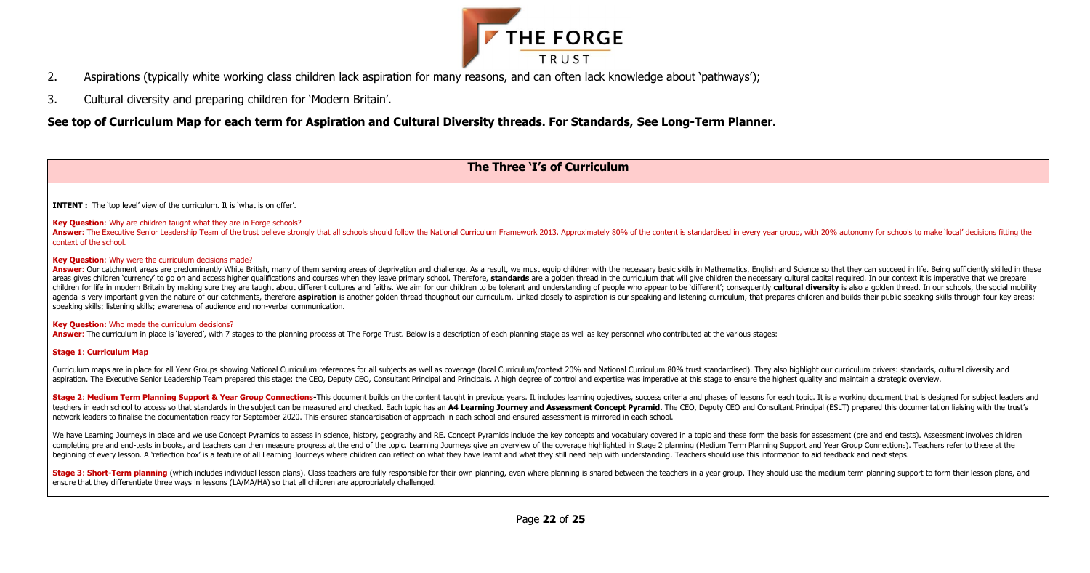

- 2. Aspirations (typically white working class children lack aspiration for many reasons, and can often lack knowledge about 'pathways');
- 3. Cultural diversity and preparing children for 'Modern Britain'.

# **See top of Curriculum Map for each term for Aspiration and Cultural Diversity threads. For Standards, See Long-Term Planner.**

# **The Three 'I's of Curriculum**

**INTENT :** The 'top level' view of the curriculum. It is 'what is on offer'.

#### **Key Question:** Why are children taught what they are in Forge schools?

Answer: The Executive Senior Leadership Team of the trust believe strongly that all schools should follow the National Curriculum Framework 2013. Approximately 80% of the content is standardised in every year group, with 2 context of the school.

#### **Key Question:** Why were the curriculum decisions made?

Answer: Our catchment areas are predominantly White British, many of them serving areas of deprivation and challenge. As a result, we must equip children with the necessary basic skills in Mathematics. English and Science areas gives children 'currency' to go on and access higher qualifications and courses when they leave primary school. Therefore, standards are a golden thread in the curriculum that will give children the necessary cultura children for life in modern Britain by making sure they are taught about different cultures and faiths. We aim for our children to be tolerant and understanding of people who appear to be 'different'; consequently cultural agenda is very important given the nature of our catchments, therefore aspiration is another golden thread thoughout our curriculum. Linked closely to aspiration is our speaking and listening curriculum, that prepares chil speaking skills; listening skills; awareness of audience and non-verbal communication.

Stage 2: Medium Term Planning Support & Year Group Connections-This document builds on the content taught in previous years. It includes learning objectives, success criteria and phases of lessons for each topic. It is a w teachers in each school to access so that standards in the subject can be measured and checked. Each topic has an A4 Learning Journey and Assessment Concept Pyramid. The CEO, Deputy CEO and Consultant Principal (ESLT) prep network leaders to finalise the documentation ready for September 2020. This ensured standardisation of approach in each school and ensured assessment is mirrored in each school.

We have Learning Journeys in place and we use Concept Pyramids to assess in science, history, geography and RE. Concept Pyramids include the key concepts and vocabulary covered in a topic and these form the basis for asses completing pre and end-tests in books, and teachers can then measure progress at the end of the topic. Learning Journeys give an overview of the coverage highlighted in Stage 2 planning (Medium Term Planning Support and Ye beainnina of everv lesson. A 'reflection box' is a feature of all Learnina Journeys where children can reflect on what they have learnt and what they still need help with understanding. Teachers should use this information

#### **Key Question:** Who made the curriculum decisions?

**Answer**: The curriculum in place is 'layered', with 7 stages to the planning process at The Forge Trust. Below is a description of each planning stage as well as key personnel who contributed at the various stages:

#### **Stage 1**: **Curriculum Map**

Curriculum maps are in place for all Year Groups showing National Curriculum references for all subjects as well as coverage (local Curriculum/context 20% and National Curriculum 80% trust standardised). They also highligh aspiration. The Executive Senior Leadership Team prepared this stage: the CEO, Deputy CEO, Consultant Principal and Principals. A high degree of control and expertise was imperative at this stage to ensure the highest qual

Stage 3: Short-Term planning (which includes individual lesson plans). Class teachers are fully responsible for their own planning, even where planning is shared between the teachers in a year group. They should use the me ensure that they differentiate three ways in lessons (LA/MA/HA) so that all children are appropriately challenged.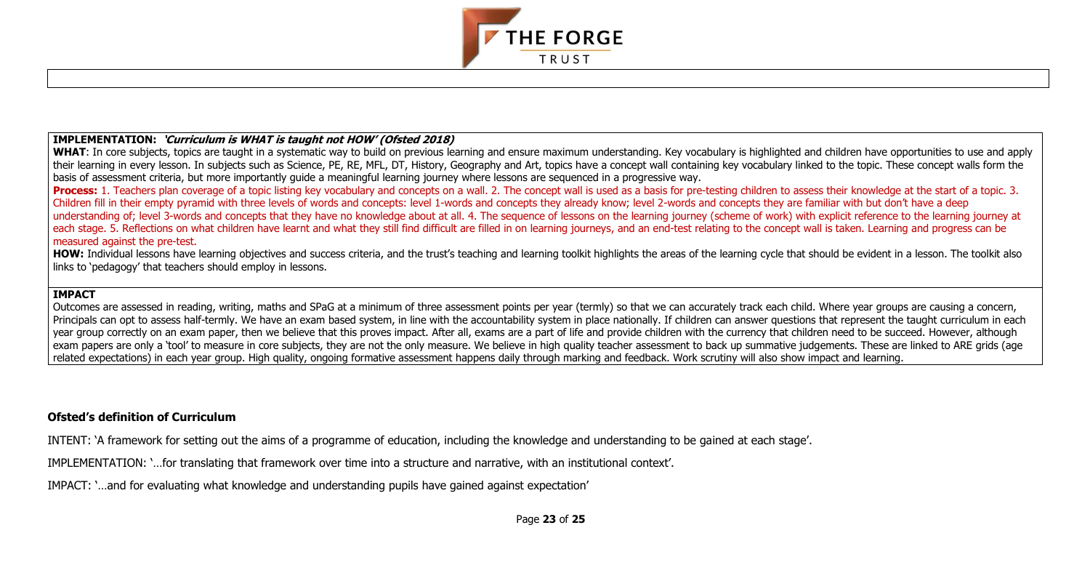

# **IMPLEMENTATION: 'Curriculum is WHAT is taught not HOW' (Ofsted 2018)**

WHAT: In core subjects, topics are taught in a systematic way to build on previous learning and ensure maximum understanding. Key vocabulary is highlighted and children have opportunities to use and apply their learning in every lesson. In subjects such as Science, PE, RE, MFL, DT, History, Geography and Art, topics have a concept wall containing key vocabulary linked to the topic. These concept walls form the basis of assessment criteria, but more importantly guide a meaningful learning journey where lessons are sequenced in a progressive way.

**Process:** 1. Teachers plan coverage of a topic listing key vocabulary and concepts on a wall. 2. The concept wall is used as a basis for pre-testing children to assess their knowledge at the start of a topic. 3. Children fill in their empty pyramid with three levels of words and concepts: level 1-words and concepts they already know; level 2-words and concepts they are familiar with but don't have a deep understanding of; level 3-words and concepts that they have no knowledge about at all. 4. The sequence of lessons on the learning journey (scheme of work) with explicit reference to the learning journey at each stage. 5. Reflections on what children have learnt and what they still find difficult are filled in on learning journeys, and an end-test relating to the concept wall is taken. Learning and progress can be measured against the pre-test.

HOW: Individual lessons have learning objectives and success criteria, and the trust's teaching and learning toolkit highlights the areas of the learning cycle that should be evident in a lesson. The toolkit also links to 'pedagogy' that teachers should employ in lessons.

### **IMPACT**

Outcomes are assessed in reading, writing, maths and SPaG at a minimum of three assessment points per year (termly) so that we can accurately track each child. Where year groups are causing a concern, Principals can opt to assess half-termly. We have an exam based system, in line with the accountability system in place nationally. If children can answer questions that represent the taught curriculum in each year group correctly on an exam paper, then we believe that this proves impact. After all, exams are a part of life and provide children with the currency that children need to be succeed. However, although exam papers are only a 'tool' to measure in core subjects, they are not the only measure. We believe in high quality teacher assessment to back up summative judgements. These are linked to ARE grids (age related expectations) in each year group. High quality, ongoing formative assessment happens daily through marking and feedback. Work scrutiny will also show impact and learning.

# **Ofsted's definition of Curriculum**

INTENT: 'A framework for setting out the aims of a programme of education, including the knowledge and understanding to be gained at each stage'.

IMPLEMENTATION: '…for translating that framework over time into a structure and narrative, with an institutional context'.

IMPACT: '…and for evaluating what knowledge and understanding pupils have gained against expectation'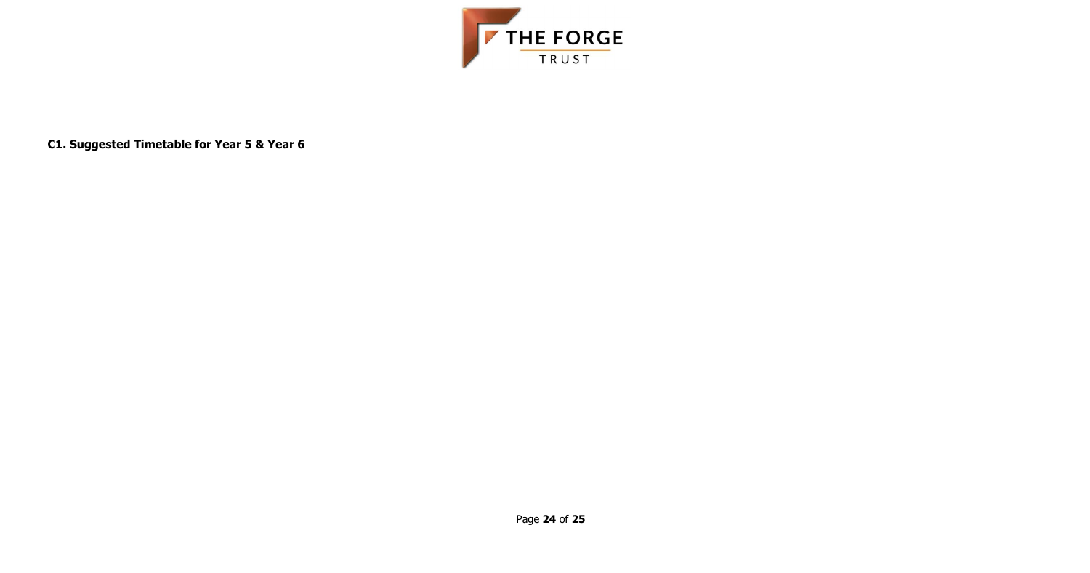

**C1. Suggested Timetable for Year 5 & Year 6**